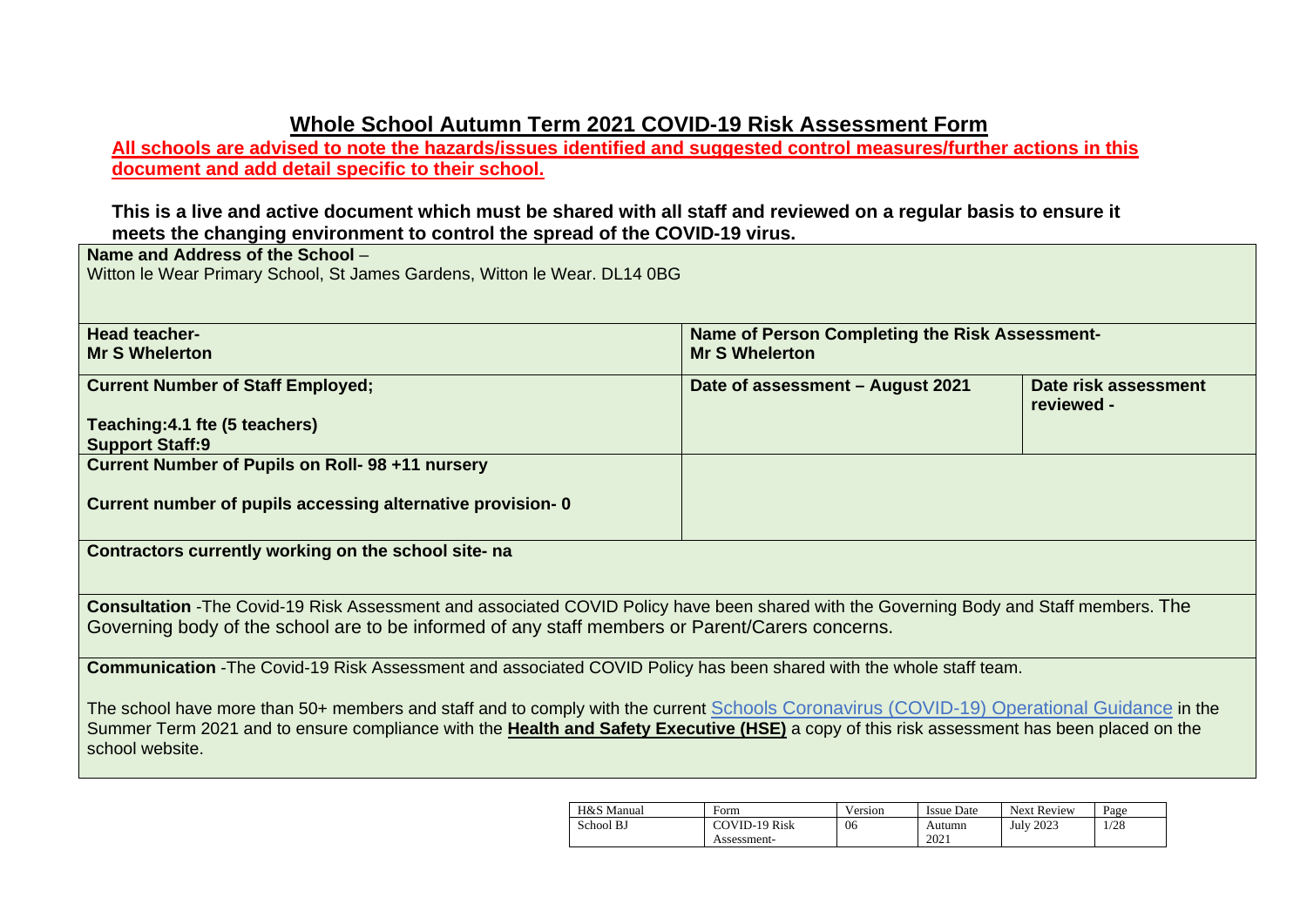## **Whole School Autumn Term 2021 COVID-19 Risk Assessment Form**

**All schools are advised to note the hazards/issues identified and suggested control measures/further actions in this document and add detail specific to their school.** 

**This is a live and active document which must be shared with all staff and reviewed on a regular basis to ensure it meets the changing environment to control the spread of the COVID-19 virus.**

**Name and Address of the School** – Witton le Wear Primary School, St James Gardens, Witton le Wear. DL14 0BG

| <b>Head teacher-</b>                                                                                                                       | <b>Name of Person Completing the Risk Assessment-</b> |                      |
|--------------------------------------------------------------------------------------------------------------------------------------------|-------------------------------------------------------|----------------------|
| <b>Mr S Whelerton</b>                                                                                                                      | <b>Mr S Whelerton</b>                                 |                      |
|                                                                                                                                            |                                                       |                      |
| <b>Current Number of Staff Employed;</b>                                                                                                   | Date of assessment - August 2021                      | Date risk assessment |
|                                                                                                                                            |                                                       | reviewed -           |
|                                                                                                                                            |                                                       |                      |
| Teaching: 4.1 fte (5 teachers)                                                                                                             |                                                       |                      |
| <b>Support Staff:9</b>                                                                                                                     |                                                       |                      |
| Current Number of Pupils on Roll- 98 +11 nursery                                                                                           |                                                       |                      |
|                                                                                                                                            |                                                       |                      |
| Current number of pupils accessing alternative provision-0                                                                                 |                                                       |                      |
|                                                                                                                                            |                                                       |                      |
|                                                                                                                                            |                                                       |                      |
| Contractors currently working on the school site- na                                                                                       |                                                       |                      |
|                                                                                                                                            |                                                       |                      |
|                                                                                                                                            |                                                       |                      |
| Consultation -The Covid-19 Risk Assessment and associated COVID Policy have been shared with the Governing Body and Staff members. The     |                                                       |                      |
|                                                                                                                                            |                                                       |                      |
| Governing body of the school are to be informed of any staff members or Parent/Carers concerns.                                            |                                                       |                      |
|                                                                                                                                            |                                                       |                      |
| Communication - The Covid-19 Risk Assessment and associated COVID Policy has been shared with the whole staff team.                        |                                                       |                      |
|                                                                                                                                            |                                                       |                      |
|                                                                                                                                            |                                                       |                      |
| The school have more than 50+ members and staff and to comply with the current Schools Coronavirus (COVID-19) Operational Guidance in the  |                                                       |                      |
| Summer Term 2021 and to ensure compliance with the Health and Safety Executive (HSE) a copy of this risk assessment has been placed on the |                                                       |                      |
| school website.                                                                                                                            |                                                       |                      |
|                                                                                                                                            |                                                       |                      |

| H&S Manual | Form                 | Version | <b>Issue Date</b> | <b>Next Review</b> | Page |
|------------|----------------------|---------|-------------------|--------------------|------|
| School BJ  | <b>COVID-19 Risk</b> | 06      | Autumn            | <b>July 2023</b>   | 1/28 |
|            | Assessment-          |         | 2021              |                    |      |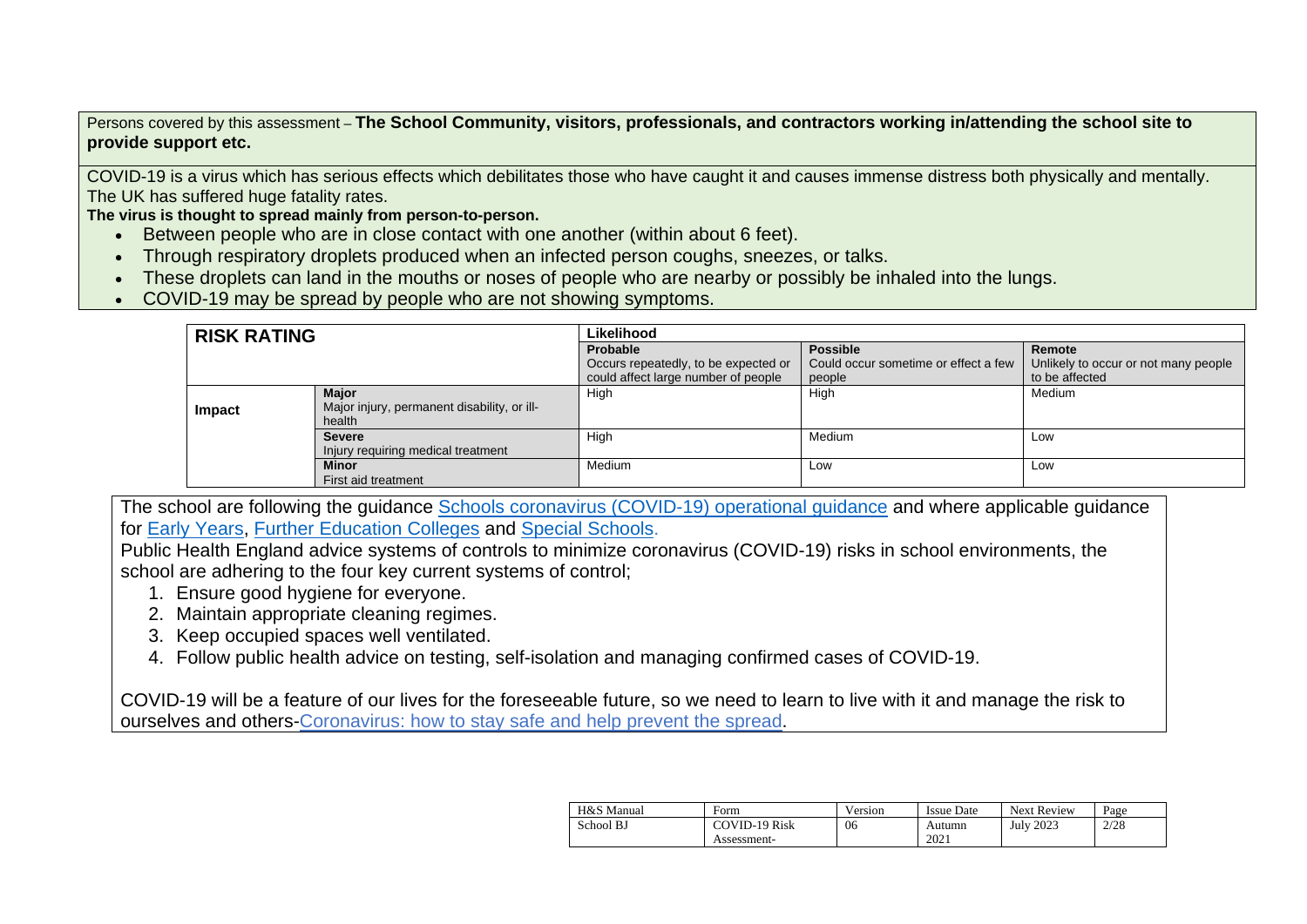Persons covered by this assessment – **The School Community, visitors, professionals, and contractors working in/attending the school site to provide support etc.**

COVID-19 is a virus which has serious effects which debilitates those who have caught it and causes immense distress both physically and mentally. The UK has suffered huge fatality rates.

**The virus is thought to spread mainly from person-to-person.**

- Between people who are in close contact with one another (within about 6 feet).
- Through respiratory droplets produced when an infected person coughs, sneezes, or talks.
- These droplets can land in the mouths or noses of people who are nearby or possibly be inhaled into the lungs.
- COVID-19 may be spread by people who are not showing symptoms.

| <b>RISK RATING</b> |                                                       | Likelihood                           |                                      |                                      |  |  |  |
|--------------------|-------------------------------------------------------|--------------------------------------|--------------------------------------|--------------------------------------|--|--|--|
|                    |                                                       | Probable                             | <b>Possible</b>                      | Remote                               |  |  |  |
|                    |                                                       | Occurs repeatedly, to be expected or | Could occur sometime or effect a few | Unlikely to occur or not many people |  |  |  |
|                    |                                                       | could affect large number of people  | people                               | to be affected                       |  |  |  |
|                    | <b>Major</b>                                          | High                                 | High                                 | Medium                               |  |  |  |
| Impact             | Major injury, permanent disability, or ill-<br>health |                                      |                                      |                                      |  |  |  |
|                    | <b>Severe</b>                                         | High                                 | Medium                               | Low                                  |  |  |  |
|                    | Injury requiring medical treatment                    |                                      |                                      |                                      |  |  |  |
|                    | <b>Minor</b>                                          | Medium                               | Low                                  | Low                                  |  |  |  |
|                    | First aid treatment                                   |                                      |                                      |                                      |  |  |  |

The school are following the guidance [Schools coronavirus \(COVID-19\) operational guidance](https://www.gov.uk/government/publications/actions-for-schools-during-the-coronavirus-outbreak/schools-coronavirus-covid-19-operational-guidance) and where applicable guidance for [Early Years,](https://www.gov.uk/government/publications/coronavirus-covid-19-early-years-and-childcare-closures/actions-for-early-years-and-childcare-providers-during-the-covid-19-pandemic) [Further Education Colleges](https://www.gov.uk/government/publications/coronavirus-covid-19-maintaining-further-education-provision/further-education-covid-19-operational-guidance) and [Special Schools.](https://www.gov.uk/government/publications/guidance-for-full-opening-special-schools-and-other-specialist-settings/send-and-specialist-settings-additional-covid-19-operational-guidance-applies-after-step-4)

Public Health England advice systems of controls to minimize coronavirus (COVID-19) risks in school environments, the school are adhering to the four key current systems of control;

- 1. Ensure good hygiene for everyone.
- 2. Maintain appropriate cleaning regimes.
- 3. Keep occupied spaces well ventilated.
- 4. Follow public health advice on testing, self-isolation and managing confirmed cases of COVID-19.

[COVID-19 will be a feature of our lives for the foreseeable future, so we need to learn to live with it and manage the risk to](https://www.gov.uk/guidance/covid-19-coronavirus-restrictions-what-you-can-and-cannot-do?fbclid=IwAR05JnKHSGCw44PjqCdklSq0TdZNY55Qqf_5_MDleT_oAMdmVYhPVoGwdgU)  ourselves and others-Coronavirus: how [to stay safe and help prevent the spread.](https://www.gov.uk/guidance/covid-19-coronavirus-restrictions-what-you-can-and-cannot-do?fbclid=IwAR05JnKHSGCw44PjqCdklSq0TdZNY55Qqf_5_MDleT_oAMdmVYhPVoGwdgU)

| H&S Manual | Form                 | Version | <b>Issue Date</b> | <b>Next Review</b> | Page |
|------------|----------------------|---------|-------------------|--------------------|------|
| School BJ  | <b>COVID-19 Risk</b> | 06      | Autumn            | <b>July 2023</b>   | 2/28 |
|            | Assessment-          |         | 2021              |                    |      |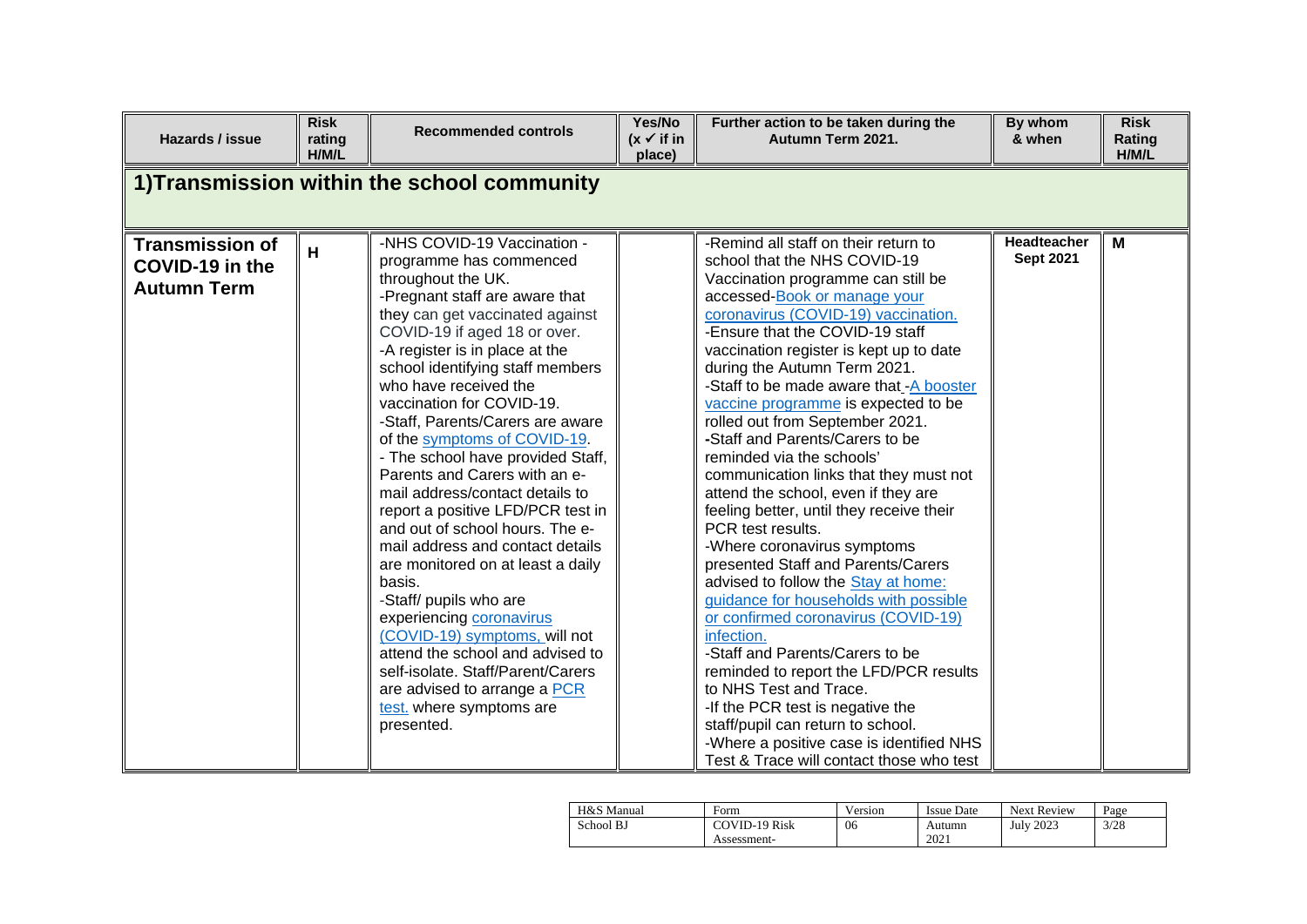| Hazards / issue                                                 | <b>Risk</b><br>rating<br>H/M/L | <b>Recommended controls</b>                                                                                                                                                                                                                                                                                                                                                                                                                                                                                                                                                                                                                                                                                                                                                                                                                                                                     | Yes/No<br>$(x \checkmark)$ if in<br>place) | Further action to be taken during the<br>Autumn Term 2021.                                                                                                                                                                                                                                                                                                                                                                                                                                                                                                                                                                                                                                                                                                                                                                                                                                                                                                                                                                                                                                                               | By whom<br>& when               | <b>Risk</b><br>Rating<br>H/M/L |
|-----------------------------------------------------------------|--------------------------------|-------------------------------------------------------------------------------------------------------------------------------------------------------------------------------------------------------------------------------------------------------------------------------------------------------------------------------------------------------------------------------------------------------------------------------------------------------------------------------------------------------------------------------------------------------------------------------------------------------------------------------------------------------------------------------------------------------------------------------------------------------------------------------------------------------------------------------------------------------------------------------------------------|--------------------------------------------|--------------------------------------------------------------------------------------------------------------------------------------------------------------------------------------------------------------------------------------------------------------------------------------------------------------------------------------------------------------------------------------------------------------------------------------------------------------------------------------------------------------------------------------------------------------------------------------------------------------------------------------------------------------------------------------------------------------------------------------------------------------------------------------------------------------------------------------------------------------------------------------------------------------------------------------------------------------------------------------------------------------------------------------------------------------------------------------------------------------------------|---------------------------------|--------------------------------|
|                                                                 |                                | 1) Transmission within the school community                                                                                                                                                                                                                                                                                                                                                                                                                                                                                                                                                                                                                                                                                                                                                                                                                                                     |                                            |                                                                                                                                                                                                                                                                                                                                                                                                                                                                                                                                                                                                                                                                                                                                                                                                                                                                                                                                                                                                                                                                                                                          |                                 |                                |
| <b>Transmission of</b><br>COVID-19 in the<br><b>Autumn Term</b> | H                              | -NHS COVID-19 Vaccination -<br>programme has commenced<br>throughout the UK.<br>-Pregnant staff are aware that<br>they can get vaccinated against<br>COVID-19 if aged 18 or over.<br>-A register is in place at the<br>school identifying staff members<br>who have received the<br>vaccination for COVID-19.<br>-Staff, Parents/Carers are aware<br>of the symptoms of COVID-19.<br>- The school have provided Staff,<br>Parents and Carers with an e-<br>mail address/contact details to<br>report a positive LFD/PCR test in<br>and out of school hours. The e-<br>mail address and contact details<br>are monitored on at least a daily<br>basis.<br>-Staff/ pupils who are<br>experiencing coronavirus<br>(COVID-19) symptoms, will not<br>attend the school and advised to<br>self-isolate. Staff/Parent/Carers<br>are advised to arrange a PCR<br>test. where symptoms are<br>presented. |                                            | -Remind all staff on their return to<br>school that the NHS COVID-19<br>Vaccination programme can still be<br>accessed-Book or manage your<br>coronavirus (COVID-19) vaccination.<br>-Ensure that the COVID-19 staff<br>vaccination register is kept up to date<br>during the Autumn Term 2021.<br>-Staff to be made aware that -A booster<br>vaccine programme is expected to be<br>rolled out from September 2021.<br>-Staff and Parents/Carers to be<br>reminded via the schools'<br>communication links that they must not<br>attend the school, even if they are<br>feeling better, until they receive their<br>PCR test results.<br>-Where coronavirus symptoms<br>presented Staff and Parents/Carers<br>advised to follow the Stay at home:<br>guidance for households with possible<br>or confirmed coronavirus (COVID-19)<br>infection.<br>-Staff and Parents/Carers to be<br>reminded to report the LFD/PCR results<br>to NHS Test and Trace.<br>-If the PCR test is negative the<br>staff/pupil can return to school.<br>-Where a positive case is identified NHS<br>Test & Trace will contact those who test | Headteacher<br><b>Sept 2021</b> | M                              |

| H&S Manual | Form                 | Version | <b>Issue Date</b> | <b>Next Review</b> | Page |
|------------|----------------------|---------|-------------------|--------------------|------|
| School BJ  | <b>COVID-19 Risk</b> | 06      | Autumn            | <b>July 2023</b>   | 3/28 |
|            | Assessment-          |         | 2021              |                    |      |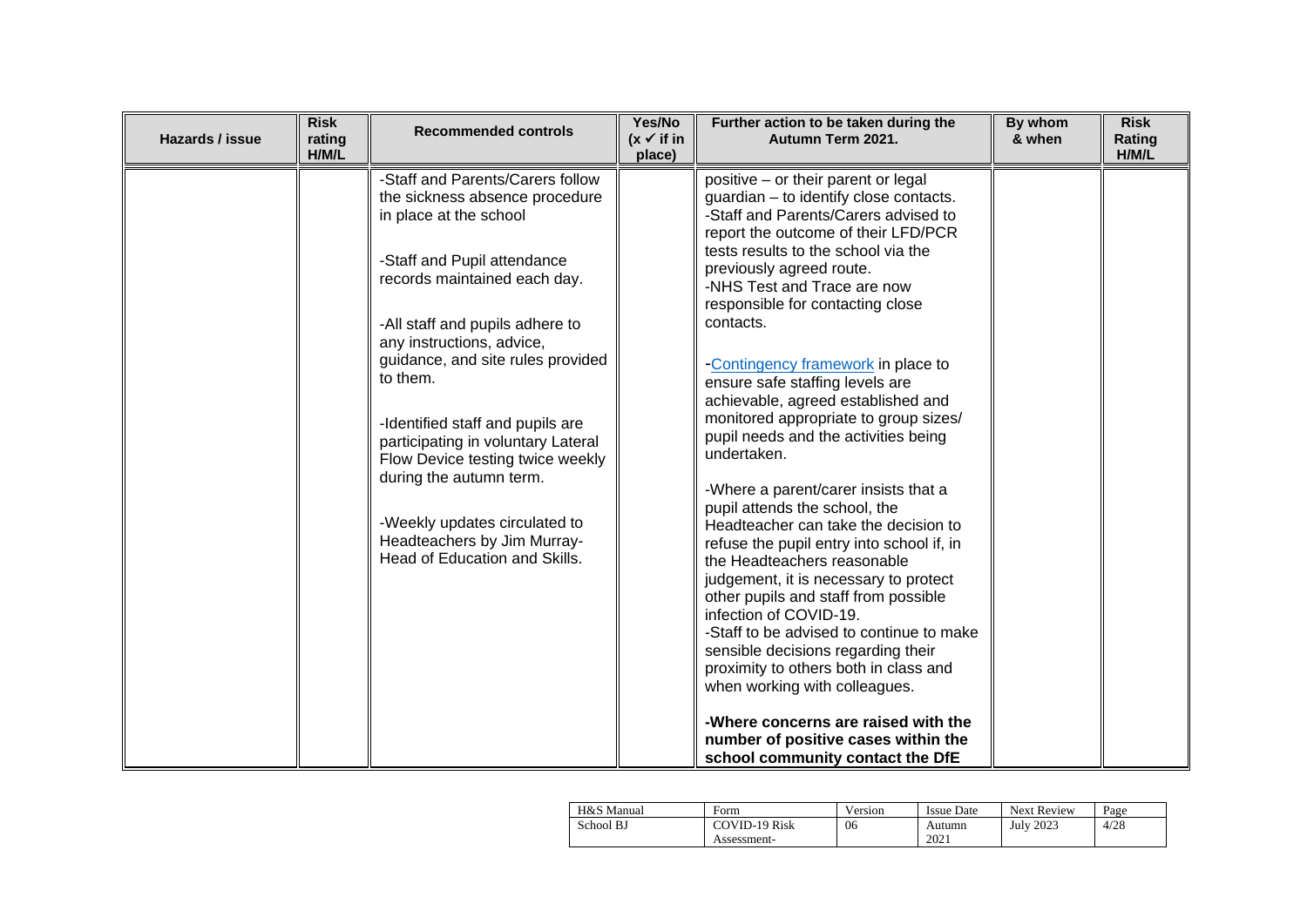| Hazards / issue | <b>Risk</b><br>rating<br>H/M/L | <b>Recommended controls</b>                                                                                                                                                                                                                                                                                                                                                                                                                                                                                            | Yes/No<br>$(x \vee$ if in<br>place) | Further action to be taken during the<br>Autumn Term 2021.                                                                                                                                                                                                                                                                                                                                                                                                                                                                                                                                                                                                                                                                                                                                                                                                                                                                                                                                                                                                                                                           | By whom<br>& when | <b>Risk</b><br>Rating<br>H/M/L |
|-----------------|--------------------------------|------------------------------------------------------------------------------------------------------------------------------------------------------------------------------------------------------------------------------------------------------------------------------------------------------------------------------------------------------------------------------------------------------------------------------------------------------------------------------------------------------------------------|-------------------------------------|----------------------------------------------------------------------------------------------------------------------------------------------------------------------------------------------------------------------------------------------------------------------------------------------------------------------------------------------------------------------------------------------------------------------------------------------------------------------------------------------------------------------------------------------------------------------------------------------------------------------------------------------------------------------------------------------------------------------------------------------------------------------------------------------------------------------------------------------------------------------------------------------------------------------------------------------------------------------------------------------------------------------------------------------------------------------------------------------------------------------|-------------------|--------------------------------|
|                 |                                | -Staff and Parents/Carers follow<br>the sickness absence procedure<br>in place at the school<br>-Staff and Pupil attendance<br>records maintained each day.<br>-All staff and pupils adhere to<br>any instructions, advice,<br>guidance, and site rules provided<br>to them.<br>-Identified staff and pupils are<br>participating in voluntary Lateral<br>Flow Device testing twice weekly<br>during the autumn term.<br>-Weekly updates circulated to<br>Headteachers by Jim Murray-<br>Head of Education and Skills. |                                     | positive - or their parent or legal<br>guardian - to identify close contacts.<br>-Staff and Parents/Carers advised to<br>report the outcome of their LFD/PCR<br>tests results to the school via the<br>previously agreed route.<br>-NHS Test and Trace are now<br>responsible for contacting close<br>contacts.<br>-Contingency framework in place to<br>ensure safe staffing levels are<br>achievable, agreed established and<br>monitored appropriate to group sizes/<br>pupil needs and the activities being<br>undertaken.<br>-Where a parent/carer insists that a<br>pupil attends the school, the<br>Headteacher can take the decision to<br>refuse the pupil entry into school if, in<br>the Headteachers reasonable<br>judgement, it is necessary to protect<br>other pupils and staff from possible<br>infection of COVID-19.<br>-Staff to be advised to continue to make<br>sensible decisions regarding their<br>proximity to others both in class and<br>when working with colleagues.<br>-Where concerns are raised with the<br>number of positive cases within the<br>school community contact the DfE |                   |                                |

| H&S Manual | Form                 | Version | <b>Issue Date</b> | <b>Next Review</b> | Page |
|------------|----------------------|---------|-------------------|--------------------|------|
| School BJ  | <b>COVID-19 Risk</b> | 06      | Autumn            | <b>July 2023</b>   | 4/28 |
|            | Assessment-          |         | 2021              |                    |      |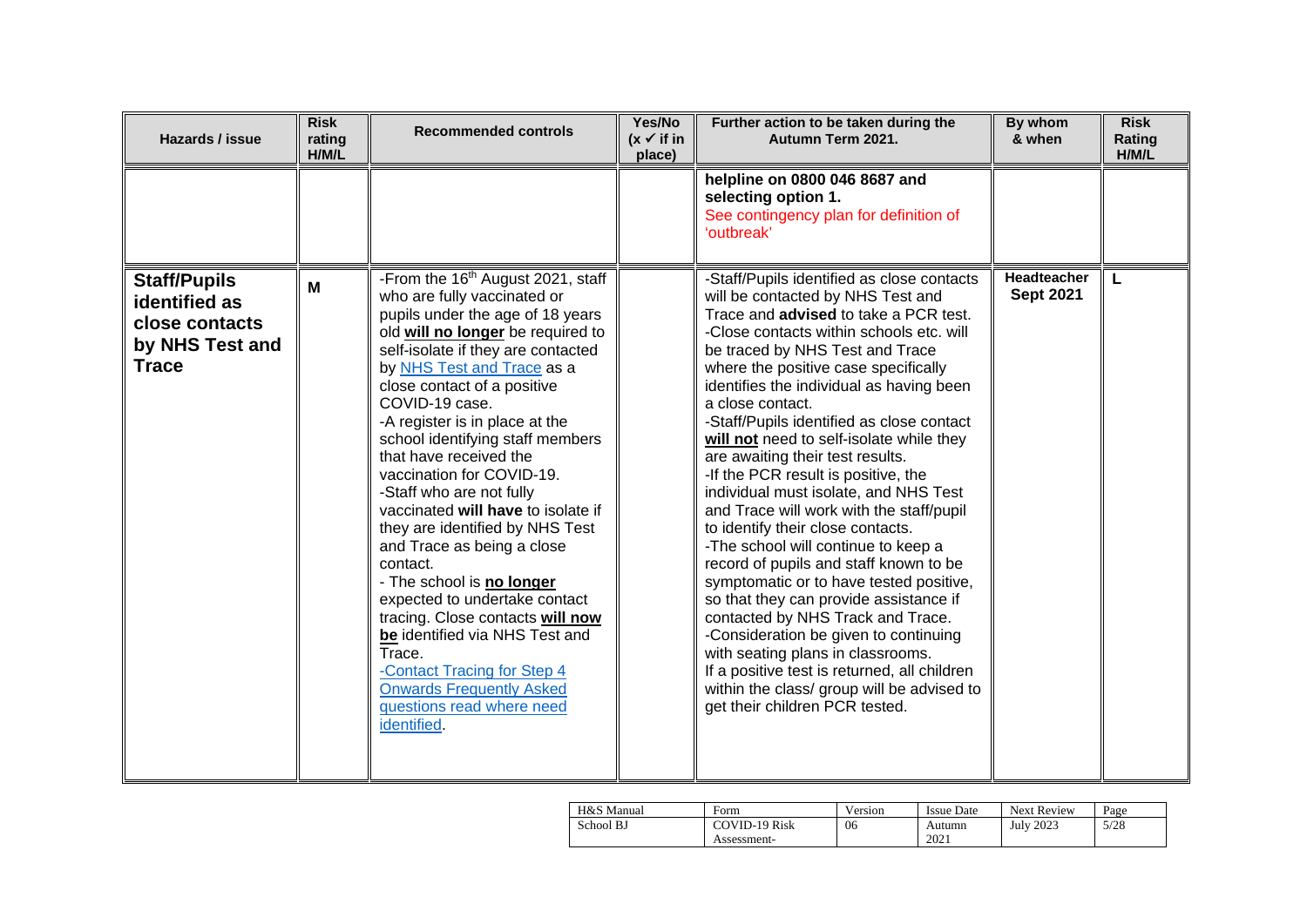| Hazards / issue                                                                           | <b>Risk</b><br>rating<br>H/M/L | <b>Recommended controls</b>                                                                                                                                                                                                                                                                                                                                                                                                                                                                                                                                                                                                                                                                                                                                                                                        | Yes/No<br>$(x \vee$ if in<br>place) | Further action to be taken during the<br>Autumn Term 2021.                                                                                                                                                                                                                                                                                                                                                                                                                                                                                                                                                                                                                                                                                                                                                                                                                                                                                                                                                                             | By whom<br>& when               | <b>Risk</b><br>Rating<br>H/M/L |
|-------------------------------------------------------------------------------------------|--------------------------------|--------------------------------------------------------------------------------------------------------------------------------------------------------------------------------------------------------------------------------------------------------------------------------------------------------------------------------------------------------------------------------------------------------------------------------------------------------------------------------------------------------------------------------------------------------------------------------------------------------------------------------------------------------------------------------------------------------------------------------------------------------------------------------------------------------------------|-------------------------------------|----------------------------------------------------------------------------------------------------------------------------------------------------------------------------------------------------------------------------------------------------------------------------------------------------------------------------------------------------------------------------------------------------------------------------------------------------------------------------------------------------------------------------------------------------------------------------------------------------------------------------------------------------------------------------------------------------------------------------------------------------------------------------------------------------------------------------------------------------------------------------------------------------------------------------------------------------------------------------------------------------------------------------------------|---------------------------------|--------------------------------|
|                                                                                           |                                |                                                                                                                                                                                                                                                                                                                                                                                                                                                                                                                                                                                                                                                                                                                                                                                                                    |                                     | helpline on 0800 046 8687 and<br>selecting option 1.<br>See contingency plan for definition of<br>'outbreak'                                                                                                                                                                                                                                                                                                                                                                                                                                                                                                                                                                                                                                                                                                                                                                                                                                                                                                                           |                                 |                                |
| <b>Staff/Pupils</b><br>identified as<br>close contacts<br>by NHS Test and<br><b>Trace</b> | M                              | -From the 16 <sup>th</sup> August 2021, staff<br>who are fully vaccinated or<br>pupils under the age of 18 years<br>old will no longer be required to<br>self-isolate if they are contacted<br>by NHS Test and Trace as a<br>close contact of a positive<br>COVID-19 case.<br>-A register is in place at the<br>school identifying staff members<br>that have received the<br>vaccination for COVID-19.<br>-Staff who are not fully<br>vaccinated will have to isolate if<br>they are identified by NHS Test<br>and Trace as being a close<br>contact.<br>- The school is no longer<br>expected to undertake contact<br>tracing. Close contacts will now<br>be identified via NHS Test and<br>Trace.<br>-Contact Tracing for Step 4<br><b>Onwards Frequently Asked</b><br>questions read where need<br>identified. |                                     | -Staff/Pupils identified as close contacts<br>will be contacted by NHS Test and<br>Trace and advised to take a PCR test.<br>-Close contacts within schools etc. will<br>be traced by NHS Test and Trace<br>where the positive case specifically<br>identifies the individual as having been<br>a close contact.<br>-Staff/Pupils identified as close contact<br>will not need to self-isolate while they<br>are awaiting their test results.<br>-If the PCR result is positive, the<br>individual must isolate, and NHS Test<br>and Trace will work with the staff/pupil<br>to identify their close contacts.<br>-The school will continue to keep a<br>record of pupils and staff known to be<br>symptomatic or to have tested positive,<br>so that they can provide assistance if<br>contacted by NHS Track and Trace.<br>-Consideration be given to continuing<br>with seating plans in classrooms.<br>If a positive test is returned, all children<br>within the class/ group will be advised to<br>get their children PCR tested. | Headteacher<br><b>Sept 2021</b> |                                |

| H&S Manual | Form                 | Version | Issue Date | <b>Next Review</b> | Page |
|------------|----------------------|---------|------------|--------------------|------|
| School BJ  | <b>COVID-19 Risk</b> | 06      | Autumn     | <b>July 2023</b>   | 5/28 |
|            | Assessment-          |         | 2021       |                    |      |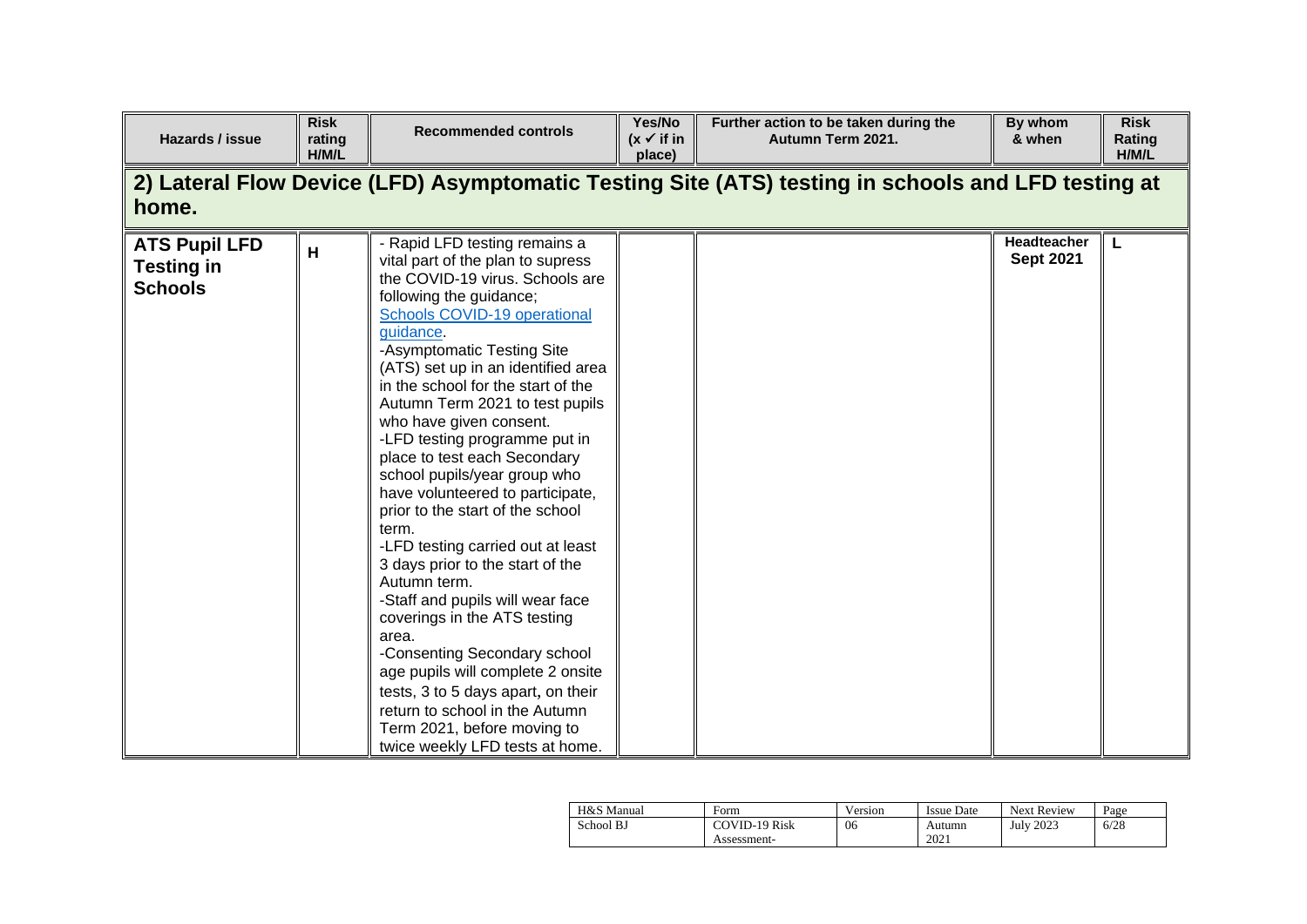| Hazards / issue                                                                                             | <b>Risk</b><br>rating<br>H/M/L | <b>Recommended controls</b>                                                                                                                                                                                                                                                                                                                                                                                                                                                                                                                                                                                                                                                                                                                                                                                                                                                                                                  | Yes/No<br>$(x \vee$ if in<br>place) | Further action to be taken during the<br>Autumn Term 2021. | By whom<br>& when               | <b>Risk</b><br>Rating<br>H/M/L |  |  |  |  |
|-------------------------------------------------------------------------------------------------------------|--------------------------------|------------------------------------------------------------------------------------------------------------------------------------------------------------------------------------------------------------------------------------------------------------------------------------------------------------------------------------------------------------------------------------------------------------------------------------------------------------------------------------------------------------------------------------------------------------------------------------------------------------------------------------------------------------------------------------------------------------------------------------------------------------------------------------------------------------------------------------------------------------------------------------------------------------------------------|-------------------------------------|------------------------------------------------------------|---------------------------------|--------------------------------|--|--|--|--|
| 2) Lateral Flow Device (LFD) Asymptomatic Testing Site (ATS) testing in schools and LFD testing at<br>home. |                                |                                                                                                                                                                                                                                                                                                                                                                                                                                                                                                                                                                                                                                                                                                                                                                                                                                                                                                                              |                                     |                                                            |                                 |                                |  |  |  |  |
| <b>ATS Pupil LFD</b><br><b>Testing in</b><br><b>Schools</b>                                                 | н                              | - Rapid LFD testing remains a<br>vital part of the plan to supress<br>the COVID-19 virus. Schools are<br>following the guidance;<br>Schools COVID-19 operational<br>guidance.<br>-Asymptomatic Testing Site<br>(ATS) set up in an identified area<br>in the school for the start of the<br>Autumn Term 2021 to test pupils<br>who have given consent.<br>-LFD testing programme put in<br>place to test each Secondary<br>school pupils/year group who<br>have volunteered to participate,<br>prior to the start of the school<br>term.<br>-LFD testing carried out at least<br>3 days prior to the start of the<br>Autumn term.<br>-Staff and pupils will wear face<br>coverings in the ATS testing<br>area.<br>-Consenting Secondary school<br>age pupils will complete 2 onsite<br>tests, 3 to 5 days apart, on their<br>return to school in the Autumn<br>Term 2021, before moving to<br>twice weekly LFD tests at home. |                                     |                                                            | Headteacher<br><b>Sept 2021</b> | L                              |  |  |  |  |

| H&S Manual | Form          | Version | Issue Date | <b>Next Review</b> | Page |
|------------|---------------|---------|------------|--------------------|------|
| School BJ  | COVID-19 Risk | 06      | Autumn     | <b>July 2023</b>   | 6/28 |
|            | Assessment-   |         | 2021       |                    |      |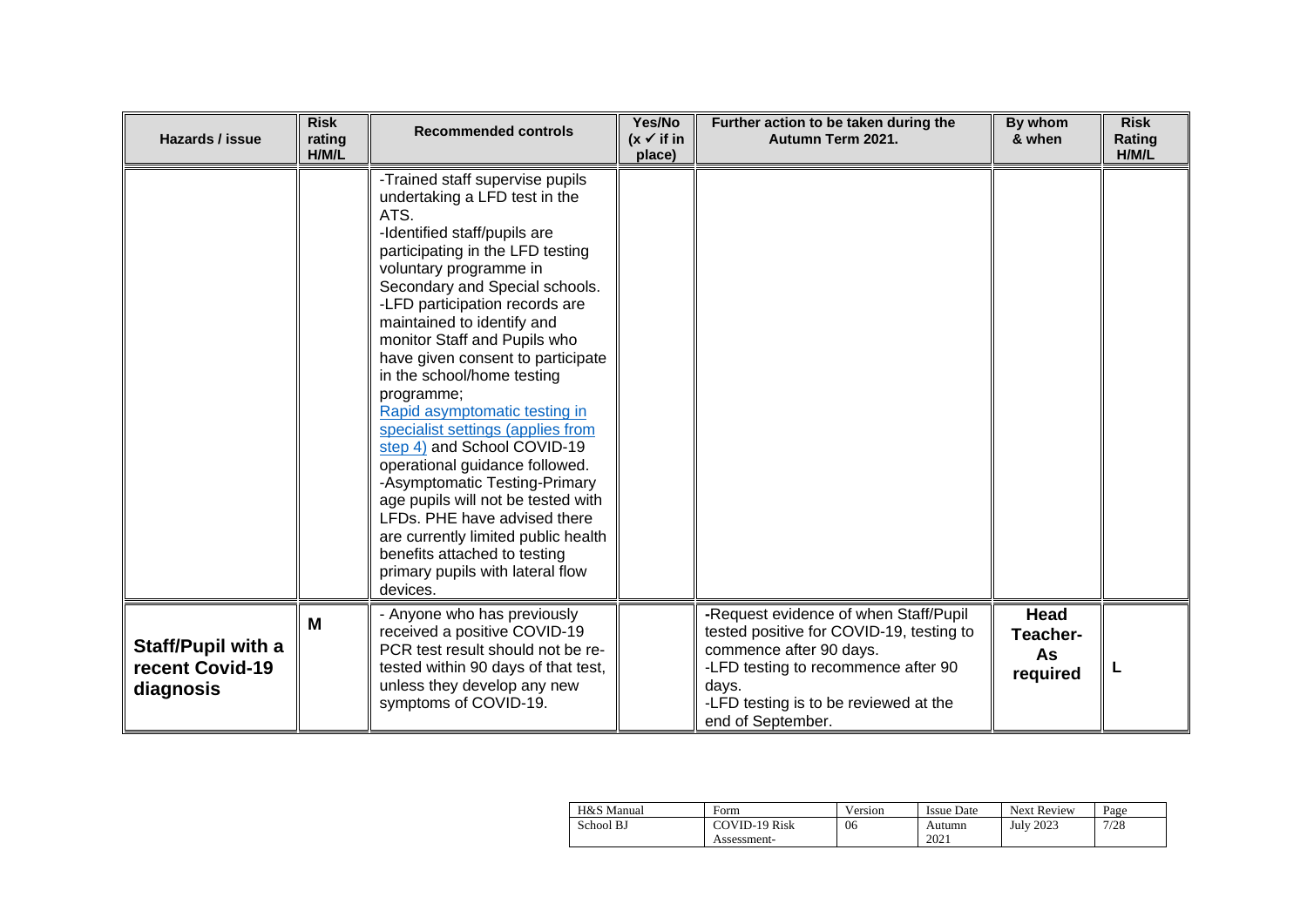| Hazards / issue                                    | <b>Risk</b><br>rating<br>H/M/L | <b>Recommended controls</b>                                                                                                                                                                                                                                                                                                                                                                                                                                                                                                                                                                                                                                                                                                                                    | Yes/No<br>$(x \vee$ if in<br>place) | Further action to be taken during the<br>Autumn Term 2021.                                                                                                                                                                 | By whom<br>& when                  | <b>Risk</b><br>Rating<br>H/M/L |
|----------------------------------------------------|--------------------------------|----------------------------------------------------------------------------------------------------------------------------------------------------------------------------------------------------------------------------------------------------------------------------------------------------------------------------------------------------------------------------------------------------------------------------------------------------------------------------------------------------------------------------------------------------------------------------------------------------------------------------------------------------------------------------------------------------------------------------------------------------------------|-------------------------------------|----------------------------------------------------------------------------------------------------------------------------------------------------------------------------------------------------------------------------|------------------------------------|--------------------------------|
|                                                    |                                | -Trained staff supervise pupils<br>undertaking a LFD test in the<br>ATS.<br>-Identified staff/pupils are<br>participating in the LFD testing<br>voluntary programme in<br>Secondary and Special schools.<br>-LFD participation records are<br>maintained to identify and<br>monitor Staff and Pupils who<br>have given consent to participate<br>in the school/home testing<br>programme;<br>Rapid asymptomatic testing in<br>specialist settings (applies from<br>step 4) and School COVID-19<br>operational guidance followed.<br>-Asymptomatic Testing-Primary<br>age pupils will not be tested with<br>LFDs. PHE have advised there<br>are currently limited public health<br>benefits attached to testing<br>primary pupils with lateral flow<br>devices. |                                     |                                                                                                                                                                                                                            |                                    |                                |
| Staff/Pupil with a<br>recent Covid-19<br>diagnosis | M                              | - Anyone who has previously<br>received a positive COVID-19<br>PCR test result should not be re-<br>tested within 90 days of that test,<br>unless they develop any new<br>symptoms of COVID-19.                                                                                                                                                                                                                                                                                                                                                                                                                                                                                                                                                                |                                     | -Request evidence of when Staff/Pupil<br>tested positive for COVID-19, testing to<br>commence after 90 days.<br>-LFD testing to recommence after 90<br>days.<br>-LFD testing is to be reviewed at the<br>end of September. | Head<br>Teacher-<br>As<br>required | L                              |

| H&S Manual | Form          | Version | Issue Date | <b>Next Review</b> | Page |
|------------|---------------|---------|------------|--------------------|------|
| School BJ  | COVID-19 Risk | 06      | Autumn     | <b>July 2023</b>   | 7/28 |
|            | Assessment-   |         | 2021       |                    |      |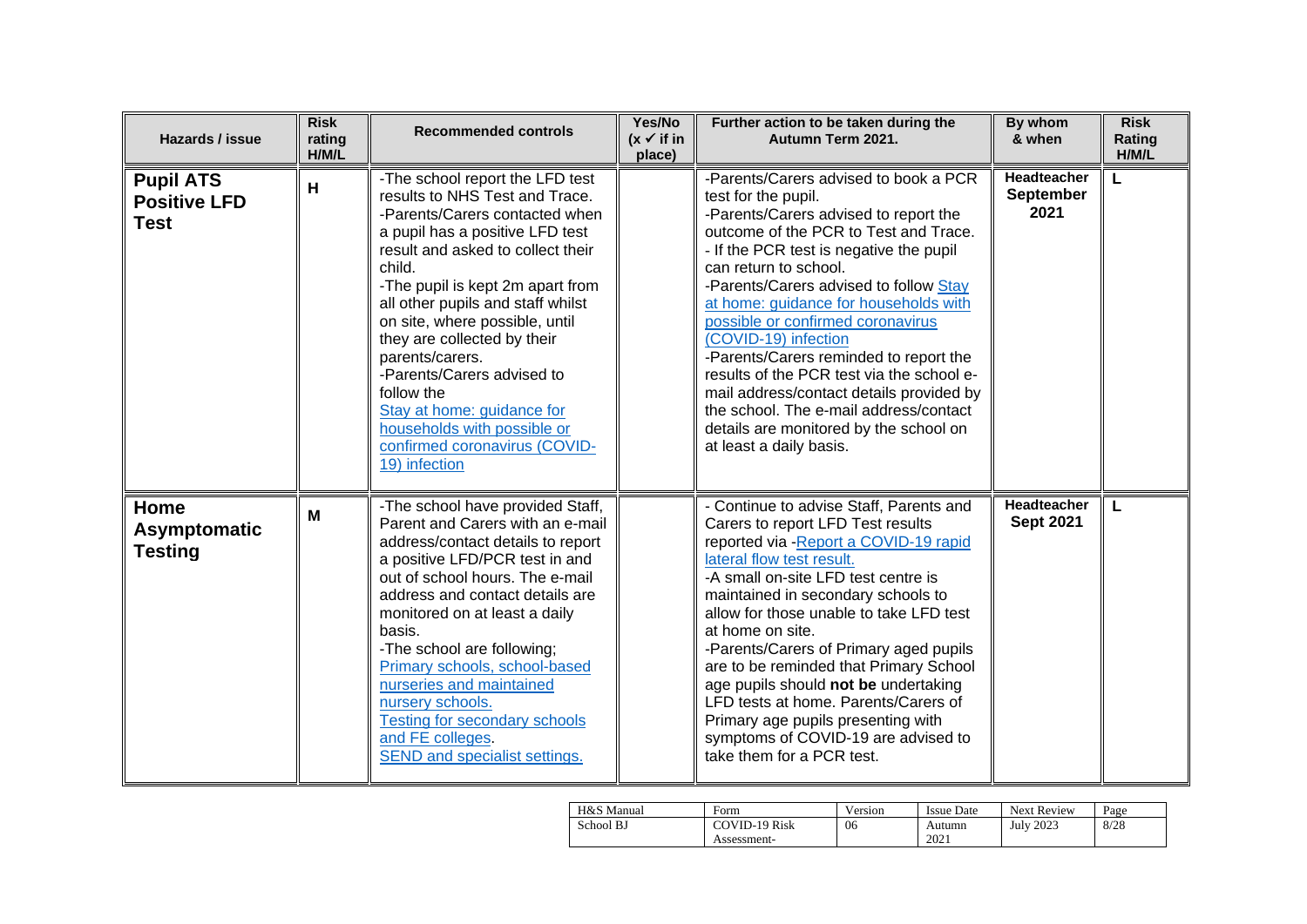| Hazards / issue                                        | <b>Risk</b><br>rating<br>H/M/L | <b>Recommended controls</b>                                                                                                                                                                                                                                                                                                                                                                                                                                                                                   | Yes/No<br>$(x \vee$ if in<br>place) | Further action to be taken during the<br>Autumn Term 2021.                                                                                                                                                                                                                                                                                                                                                                                                                                                                                                                                                           | By whom<br>& when                       | <b>Risk</b><br>Rating<br>H/M/L |
|--------------------------------------------------------|--------------------------------|---------------------------------------------------------------------------------------------------------------------------------------------------------------------------------------------------------------------------------------------------------------------------------------------------------------------------------------------------------------------------------------------------------------------------------------------------------------------------------------------------------------|-------------------------------------|----------------------------------------------------------------------------------------------------------------------------------------------------------------------------------------------------------------------------------------------------------------------------------------------------------------------------------------------------------------------------------------------------------------------------------------------------------------------------------------------------------------------------------------------------------------------------------------------------------------------|-----------------------------------------|--------------------------------|
| <b>Pupil ATS</b><br><b>Positive LFD</b><br><b>Test</b> | H                              | -The school report the LFD test<br>results to NHS Test and Trace.<br>-Parents/Carers contacted when<br>a pupil has a positive LFD test<br>result and asked to collect their<br>child.<br>-The pupil is kept 2m apart from<br>all other pupils and staff whilst<br>on site, where possible, until<br>they are collected by their<br>parents/carers.<br>-Parents/Carers advised to<br>follow the<br>Stay at home: guidance for<br>households with possible or<br>confirmed coronavirus (COVID-<br>19) infection |                                     | -Parents/Carers advised to book a PCR<br>test for the pupil.<br>-Parents/Carers advised to report the<br>outcome of the PCR to Test and Trace.<br>- If the PCR test is negative the pupil<br>can return to school.<br>-Parents/Carers advised to follow Stay<br>at home: guidance for households with<br>possible or confirmed coronavirus<br>(COVID-19) infection<br>-Parents/Carers reminded to report the<br>results of the PCR test via the school e-<br>mail address/contact details provided by<br>the school. The e-mail address/contact<br>details are monitored by the school on<br>at least a daily basis. | <b>Headteacher</b><br>September<br>2021 | L                              |
| Home<br><b>Asymptomatic</b><br><b>Testing</b>          | M                              | -The school have provided Staff,<br>Parent and Carers with an e-mail<br>address/contact details to report<br>a positive LFD/PCR test in and<br>out of school hours. The e-mail<br>address and contact details are<br>monitored on at least a daily<br>basis.<br>-The school are following;<br>Primary schools, school-based<br>nurseries and maintained<br>nursery schools.<br><b>Testing for secondary schools</b><br>and FE colleges.<br>SEND and specialist settings.                                      |                                     | - Continue to advise Staff, Parents and<br>Carers to report LFD Test results<br>reported via - Report a COVID-19 rapid<br>lateral flow test result.<br>-A small on-site LFD test centre is<br>maintained in secondary schools to<br>allow for those unable to take LFD test<br>at home on site.<br>-Parents/Carers of Primary aged pupils<br>are to be reminded that Primary School<br>age pupils should not be undertaking<br>LFD tests at home. Parents/Carers of<br>Primary age pupils presenting with<br>symptoms of COVID-19 are advised to<br>take them for a PCR test.                                        | Headteacher<br><b>Sept 2021</b>         | L                              |

| H&S Manual | Form                 | Version | <b>Issue Date</b> | <b>Next Review</b> | Page |
|------------|----------------------|---------|-------------------|--------------------|------|
| School BJ  | <b>COVID-19 Risk</b> | 06      | Autumn            | <b>July 2023</b>   | 8/28 |
|            | Assessment-          |         | 2021              |                    |      |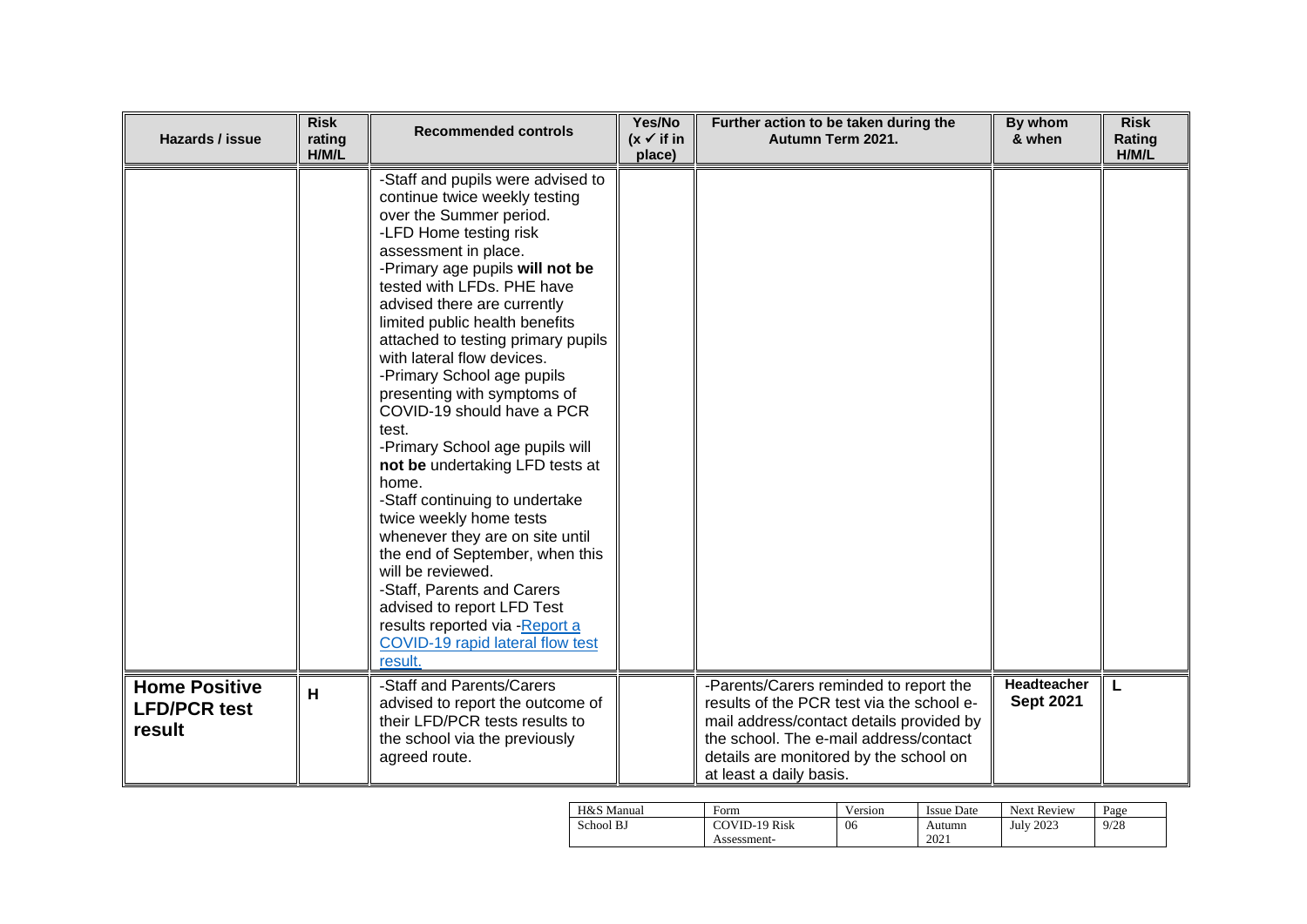| Hazards / issue                                       | <b>Risk</b><br>rating<br>H/M/L | <b>Recommended controls</b>                                                                                                                                                                                                                                                                                                                                                                                                                                                                                                                                                                                                                                                                                                                                                                                                                    | Yes/No<br>$(x \vee$ if in<br>place) | Further action to be taken during the<br>Autumn Term 2021.                                                                                                                                                                                     | By whom<br>& when               | <b>Risk</b><br>Rating<br>H/M/L |
|-------------------------------------------------------|--------------------------------|------------------------------------------------------------------------------------------------------------------------------------------------------------------------------------------------------------------------------------------------------------------------------------------------------------------------------------------------------------------------------------------------------------------------------------------------------------------------------------------------------------------------------------------------------------------------------------------------------------------------------------------------------------------------------------------------------------------------------------------------------------------------------------------------------------------------------------------------|-------------------------------------|------------------------------------------------------------------------------------------------------------------------------------------------------------------------------------------------------------------------------------------------|---------------------------------|--------------------------------|
|                                                       |                                | -Staff and pupils were advised to<br>continue twice weekly testing<br>over the Summer period.<br>-LFD Home testing risk<br>assessment in place.<br>-Primary age pupils will not be<br>tested with LFDs. PHE have<br>advised there are currently<br>limited public health benefits<br>attached to testing primary pupils<br>with lateral flow devices.<br>-Primary School age pupils<br>presenting with symptoms of<br>COVID-19 should have a PCR<br>test.<br>-Primary School age pupils will<br>not be undertaking LFD tests at<br>home.<br>-Staff continuing to undertake<br>twice weekly home tests<br>whenever they are on site until<br>the end of September, when this<br>will be reviewed.<br>-Staff, Parents and Carers<br>advised to report LFD Test<br>results reported via - Report a<br>COVID-19 rapid lateral flow test<br>result. |                                     |                                                                                                                                                                                                                                                |                                 |                                |
| <b>Home Positive</b><br><b>LFD/PCR test</b><br>result | H                              | -Staff and Parents/Carers<br>advised to report the outcome of<br>their LFD/PCR tests results to<br>the school via the previously<br>agreed route.                                                                                                                                                                                                                                                                                                                                                                                                                                                                                                                                                                                                                                                                                              |                                     | -Parents/Carers reminded to report the<br>results of the PCR test via the school e-<br>mail address/contact details provided by<br>the school. The e-mail address/contact<br>details are monitored by the school on<br>at least a daily basis. | Headteacher<br><b>Sept 2021</b> | L                              |

| H&S Manual | Form                 | Version | <b>Issue Date</b> | <b>Next Review</b> | Page |
|------------|----------------------|---------|-------------------|--------------------|------|
| School BJ  | <b>COVID-19 Risk</b> | 06      | Autumn            | <b>July 2023</b>   | 9/28 |
|            | Assessment-          |         | 2021              |                    |      |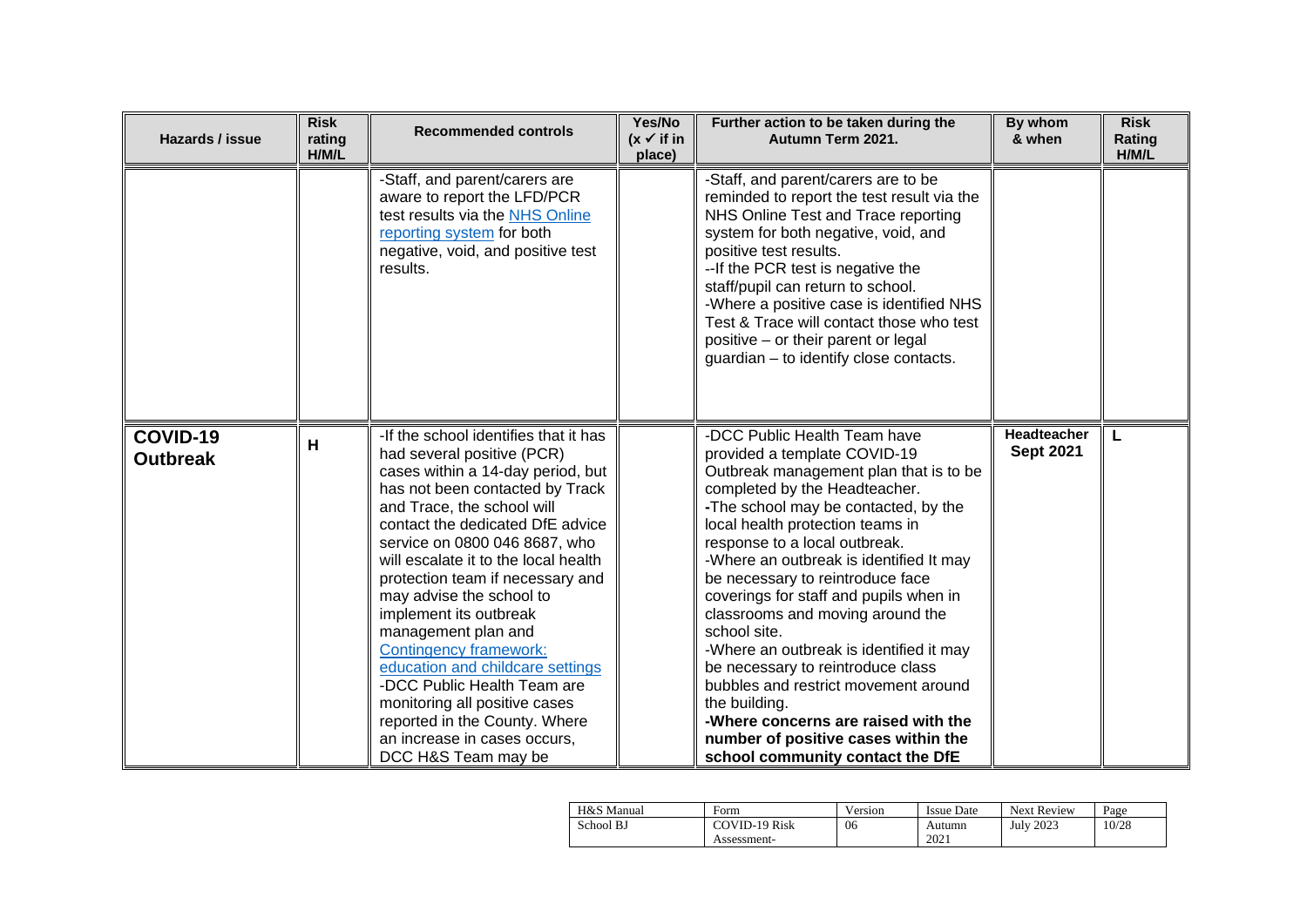| Hazards / issue             | <b>Risk</b><br>rating<br>H/M/L | <b>Recommended controls</b>                                                                                                                                                                                                                                                                                                                                                                                                                                                                                                                                                                                                   | Yes/No<br>$(x \vee$ if in<br>place) | Further action to be taken during the<br>Autumn Term 2021.                                                                                                                                                                                                                                                                                                                                                                                                                                                                                                                                                                                                                                   | By whom<br>& when               | <b>Risk</b><br>Rating<br>H/M/L |
|-----------------------------|--------------------------------|-------------------------------------------------------------------------------------------------------------------------------------------------------------------------------------------------------------------------------------------------------------------------------------------------------------------------------------------------------------------------------------------------------------------------------------------------------------------------------------------------------------------------------------------------------------------------------------------------------------------------------|-------------------------------------|----------------------------------------------------------------------------------------------------------------------------------------------------------------------------------------------------------------------------------------------------------------------------------------------------------------------------------------------------------------------------------------------------------------------------------------------------------------------------------------------------------------------------------------------------------------------------------------------------------------------------------------------------------------------------------------------|---------------------------------|--------------------------------|
|                             |                                | -Staff, and parent/carers are<br>aware to report the LFD/PCR<br>test results via the NHS Online<br>reporting system for both<br>negative, void, and positive test<br>results.                                                                                                                                                                                                                                                                                                                                                                                                                                                 |                                     | -Staff, and parent/carers are to be<br>reminded to report the test result via the<br>NHS Online Test and Trace reporting<br>system for both negative, void, and<br>positive test results.<br>--If the PCR test is negative the<br>staff/pupil can return to school.<br>-Where a positive case is identified NHS<br>Test & Trace will contact those who test<br>positive - or their parent or legal<br>guardian - to identify close contacts.                                                                                                                                                                                                                                                 |                                 |                                |
| COVID-19<br><b>Outbreak</b> | H                              | -If the school identifies that it has<br>had several positive (PCR)<br>cases within a 14-day period, but<br>has not been contacted by Track<br>and Trace, the school will<br>contact the dedicated DfE advice<br>service on 0800 046 8687, who<br>will escalate it to the local health<br>protection team if necessary and<br>may advise the school to<br>implement its outbreak<br>management plan and<br>Contingency framework:<br>education and childcare settings<br>-DCC Public Health Team are<br>monitoring all positive cases<br>reported in the County. Where<br>an increase in cases occurs,<br>DCC H&S Team may be |                                     | -DCC Public Health Team have<br>provided a template COVID-19<br>Outbreak management plan that is to be<br>completed by the Headteacher.<br>-The school may be contacted, by the<br>local health protection teams in<br>response to a local outbreak.<br>-Where an outbreak is identified It may<br>be necessary to reintroduce face<br>coverings for staff and pupils when in<br>classrooms and moving around the<br>school site.<br>-Where an outbreak is identified it may<br>be necessary to reintroduce class<br>bubbles and restrict movement around<br>the building.<br>-Where concerns are raised with the<br>number of positive cases within the<br>school community contact the DfE | Headteacher<br><b>Sept 2021</b> | L                              |

| H&S Manual | Form          | Version | <b>Issue Date</b> | <b>Next Review</b> | Page  |
|------------|---------------|---------|-------------------|--------------------|-------|
| School BJ  | COVID-19 Risk | 06      | Autumn            | <b>July 2023</b>   | 10/28 |
|            | Assessment-   |         | 2021              |                    |       |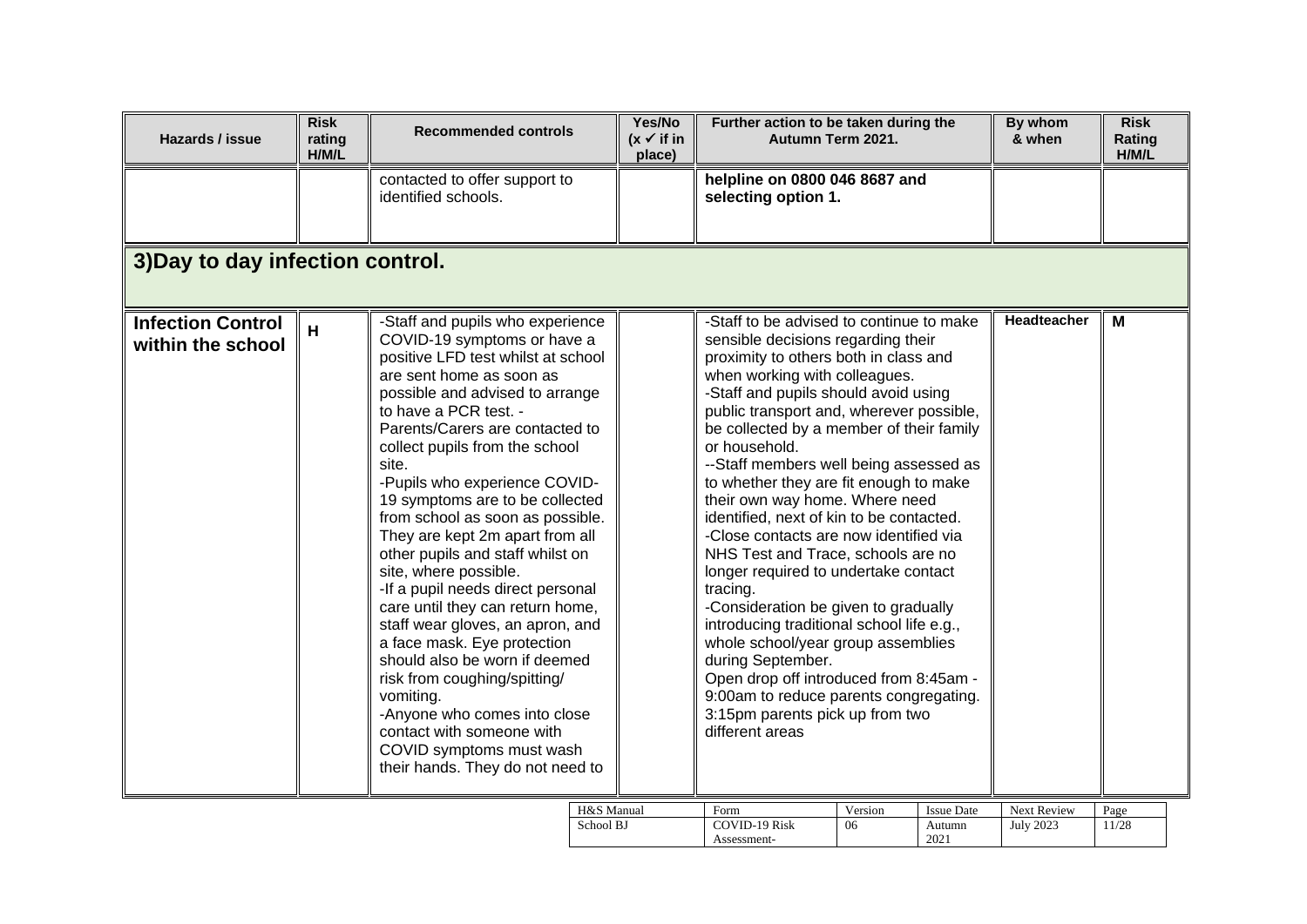| contacted to offer support to<br>helpline on 0800 046 8687 and<br>identified schools.<br>selecting option 1.<br>3) Day to day infection control.<br>-Staff to be advised to continue to make<br>Headteacher<br><b>Infection Control</b><br>-Staff and pupils who experience<br>M<br>H<br>COVID-19 symptoms or have a<br>sensible decisions regarding their<br>within the school<br>positive LFD test whilst at school<br>proximity to others both in class and<br>are sent home as soon as<br>when working with colleagues.<br>possible and advised to arrange<br>-Staff and pupils should avoid using<br>to have a PCR test. -<br>public transport and, wherever possible,                                                                                                                                                                                                                                                                                                                                                                                                                                                                                                                                             | Hazards / issue | <b>Risk</b><br>rating<br>H/M/L | <b>Recommended controls</b>     | Yes/No<br>$(x \vee$ if in<br>place) | Further action to be taken during the<br>Autumn Term 2021. | By whom<br>& when | <b>Risk</b><br>Rating<br>H/M/L |
|-------------------------------------------------------------------------------------------------------------------------------------------------------------------------------------------------------------------------------------------------------------------------------------------------------------------------------------------------------------------------------------------------------------------------------------------------------------------------------------------------------------------------------------------------------------------------------------------------------------------------------------------------------------------------------------------------------------------------------------------------------------------------------------------------------------------------------------------------------------------------------------------------------------------------------------------------------------------------------------------------------------------------------------------------------------------------------------------------------------------------------------------------------------------------------------------------------------------------|-----------------|--------------------------------|---------------------------------|-------------------------------------|------------------------------------------------------------|-------------------|--------------------------------|
|                                                                                                                                                                                                                                                                                                                                                                                                                                                                                                                                                                                                                                                                                                                                                                                                                                                                                                                                                                                                                                                                                                                                                                                                                         |                 |                                |                                 |                                     |                                                            |                   |                                |
|                                                                                                                                                                                                                                                                                                                                                                                                                                                                                                                                                                                                                                                                                                                                                                                                                                                                                                                                                                                                                                                                                                                                                                                                                         |                 |                                |                                 |                                     |                                                            |                   |                                |
| or household.<br>collect pupils from the school<br>--Staff members well being assessed as<br>site.<br>-Pupils who experience COVID-<br>to whether they are fit enough to make<br>19 symptoms are to be collected<br>their own way home. Where need<br>from school as soon as possible.<br>identified, next of kin to be contacted.<br>They are kept 2m apart from all<br>-Close contacts are now identified via<br>other pupils and staff whilst on<br>NHS Test and Trace, schools are no<br>site, where possible.<br>longer required to undertake contact<br>-If a pupil needs direct personal<br>tracing.<br>care until they can return home,<br>-Consideration be given to gradually<br>staff wear gloves, an apron, and<br>introducing traditional school life e.g.,<br>a face mask. Eye protection<br>whole school/year group assemblies<br>should also be worn if deemed<br>during September.<br>Open drop off introduced from 8:45am -<br>risk from coughing/spitting/<br>9:00am to reduce parents congregating.<br>vomiting.<br>-Anyone who comes into close<br>3:15pm parents pick up from two<br>contact with someone with<br>different areas<br>COVID symptoms must wash<br>their hands. They do not need to |                 |                                | Parents/Carers are contacted to |                                     | be collected by a member of their family                   |                   |                                |

| H&S Manual | Form          | Version | Issue Date | <b>Next Review</b> | Page |
|------------|---------------|---------|------------|--------------------|------|
| School BJ  | COVID-19 Risk | 06      | Autumn     | <b>July 2023</b>   | 1/28 |
|            | Assessment-   |         | 2021       |                    |      |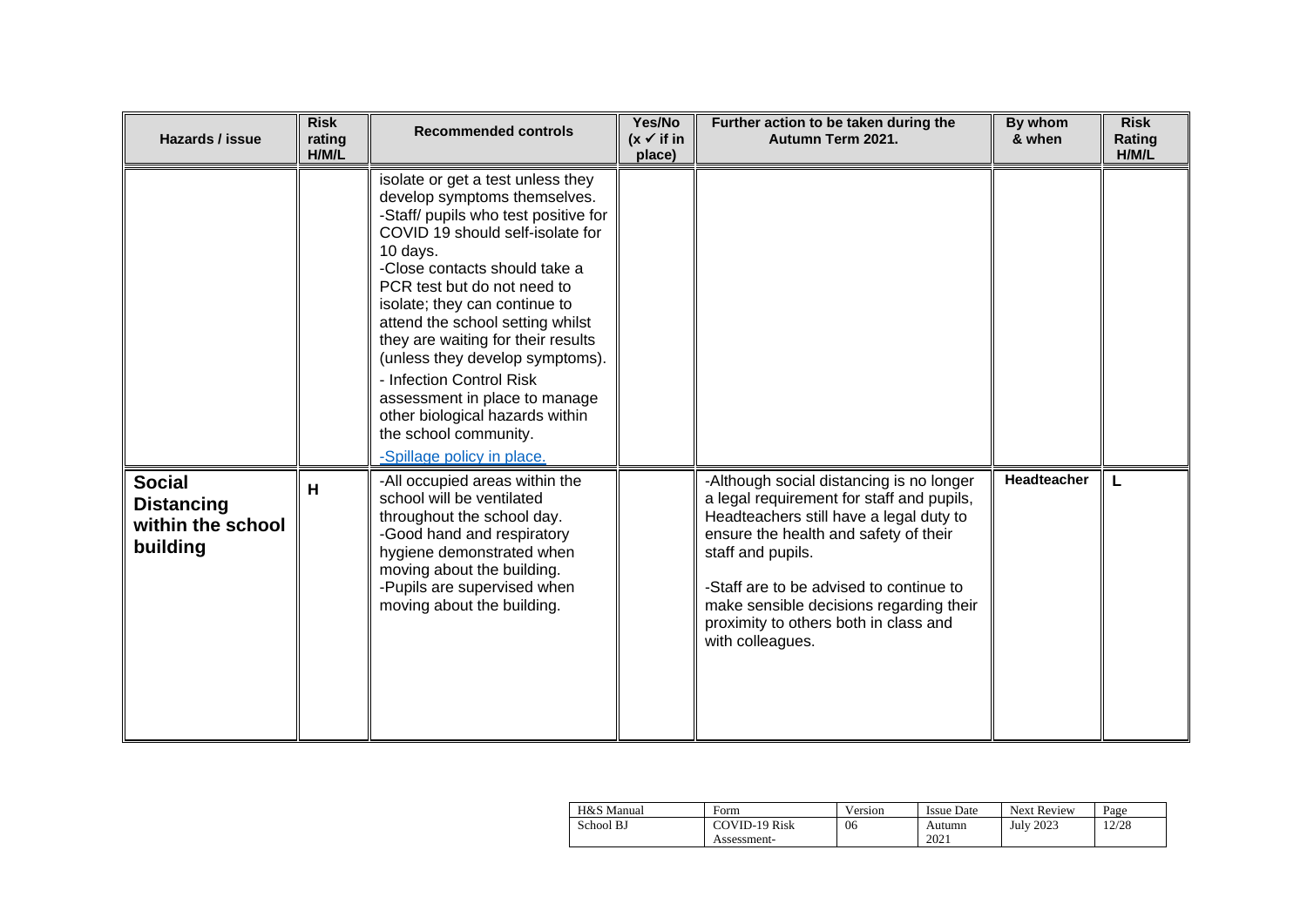| Hazards / issue                                                     | <b>Risk</b><br>rating<br>H/M/L | <b>Recommended controls</b>                                                                                                                                                                                                                                                                                                                                                                                                                                                                                                    | Yes/No<br>$(x \checkmark)$ if in<br>place) | Further action to be taken during the<br>Autumn Term 2021.                                                                                                                                                                                                                                                                                        | By whom<br>& when  | <b>Risk</b><br>Rating<br>H/M/L |
|---------------------------------------------------------------------|--------------------------------|--------------------------------------------------------------------------------------------------------------------------------------------------------------------------------------------------------------------------------------------------------------------------------------------------------------------------------------------------------------------------------------------------------------------------------------------------------------------------------------------------------------------------------|--------------------------------------------|---------------------------------------------------------------------------------------------------------------------------------------------------------------------------------------------------------------------------------------------------------------------------------------------------------------------------------------------------|--------------------|--------------------------------|
|                                                                     |                                | isolate or get a test unless they<br>develop symptoms themselves.<br>-Staff/ pupils who test positive for<br>COVID 19 should self-isolate for<br>10 days.<br>-Close contacts should take a<br>PCR test but do not need to<br>isolate; they can continue to<br>attend the school setting whilst<br>they are waiting for their results<br>(unless they develop symptoms).<br>- Infection Control Risk<br>assessment in place to manage<br>other biological hazards within<br>the school community.<br>-Spillage policy in place. |                                            |                                                                                                                                                                                                                                                                                                                                                   |                    |                                |
| <b>Social</b><br><b>Distancing</b><br>within the school<br>building | н                              | -All occupied areas within the<br>school will be ventilated<br>throughout the school day.<br>-Good hand and respiratory<br>hygiene demonstrated when<br>moving about the building.<br>-Pupils are supervised when<br>moving about the building.                                                                                                                                                                                                                                                                                |                                            | -Although social distancing is no longer<br>a legal requirement for staff and pupils,<br>Headteachers still have a legal duty to<br>ensure the health and safety of their<br>staff and pupils.<br>-Staff are to be advised to continue to<br>make sensible decisions regarding their<br>proximity to others both in class and<br>with colleagues. | <b>Headteacher</b> | L                              |

| H&S Manual | Form          | Version | <b>Issue Date</b> | <b>Next Review</b> | Page  |
|------------|---------------|---------|-------------------|--------------------|-------|
| School BJ  | COVID-19 Risk | 06      | Autumn            | <b>July 2023</b>   | 12/28 |
|            | Assessment-   |         | 2021              |                    |       |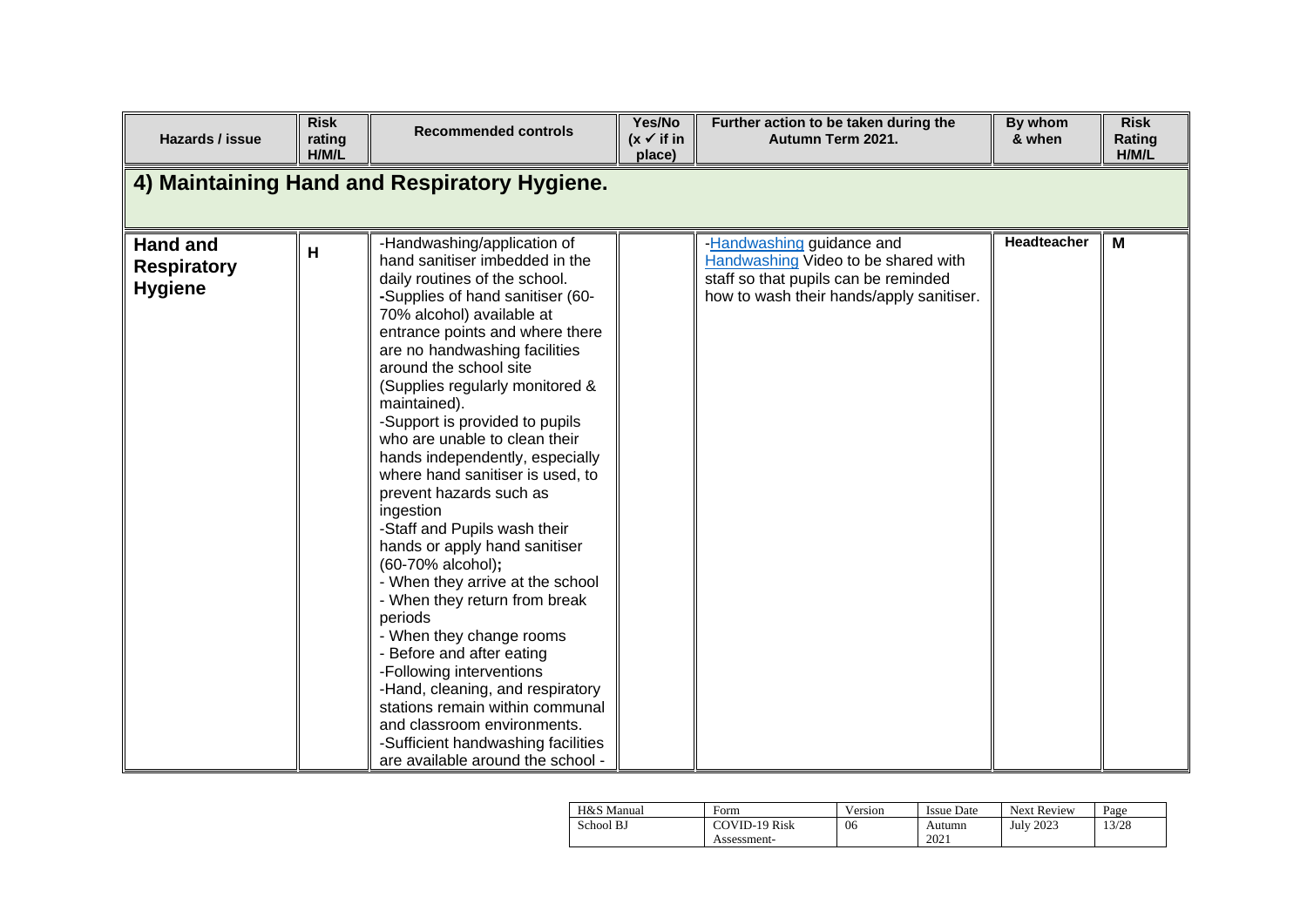| Hazards / issue                                         | <b>Risk</b><br>rating<br>H/M/L | <b>Recommended controls</b>                                                                                                                                                                                                                                                                                                                                                                                                                                                                                                                                                                                                                                                                                                                                                                                                                                                                                                                    | Yes/No<br>$(x \vee$ if in<br>place) | Further action to be taken during the<br>Autumn Term 2021.                                                                                           | By whom<br>& when | <b>Risk</b><br>Rating<br>H/M/L |
|---------------------------------------------------------|--------------------------------|------------------------------------------------------------------------------------------------------------------------------------------------------------------------------------------------------------------------------------------------------------------------------------------------------------------------------------------------------------------------------------------------------------------------------------------------------------------------------------------------------------------------------------------------------------------------------------------------------------------------------------------------------------------------------------------------------------------------------------------------------------------------------------------------------------------------------------------------------------------------------------------------------------------------------------------------|-------------------------------------|------------------------------------------------------------------------------------------------------------------------------------------------------|-------------------|--------------------------------|
|                                                         |                                | 4) Maintaining Hand and Respiratory Hygiene.                                                                                                                                                                                                                                                                                                                                                                                                                                                                                                                                                                                                                                                                                                                                                                                                                                                                                                   |                                     |                                                                                                                                                      |                   |                                |
| <b>Hand and</b><br><b>Respiratory</b><br><b>Hygiene</b> | H                              | -Handwashing/application of<br>hand sanitiser imbedded in the<br>daily routines of the school.<br>-Supplies of hand sanitiser (60-<br>70% alcohol) available at<br>entrance points and where there<br>are no handwashing facilities<br>around the school site<br>(Supplies regularly monitored &<br>maintained).<br>-Support is provided to pupils<br>who are unable to clean their<br>hands independently, especially<br>where hand sanitiser is used, to<br>prevent hazards such as<br>ingestion<br>-Staff and Pupils wash their<br>hands or apply hand sanitiser<br>(60-70% alcohol);<br>- When they arrive at the school<br>- When they return from break<br>periods<br>- When they change rooms<br>- Before and after eating<br>-Following interventions<br>-Hand, cleaning, and respiratory<br>stations remain within communal<br>and classroom environments.<br>-Sufficient handwashing facilities<br>are available around the school - |                                     | -Handwashing guidance and<br>Handwashing Video to be shared with<br>staff so that pupils can be reminded<br>how to wash their hands/apply sanitiser. | Headteacher       | M                              |

| H&S Manual | Form                 | Version | Issue Date | <b>Next Review</b> | Page  |
|------------|----------------------|---------|------------|--------------------|-------|
| School BJ  | <b>COVID-19 Risk</b> | 06      | Autumn     | July 2023          | 13/28 |
|            | Assessment-          |         | 2021       |                    |       |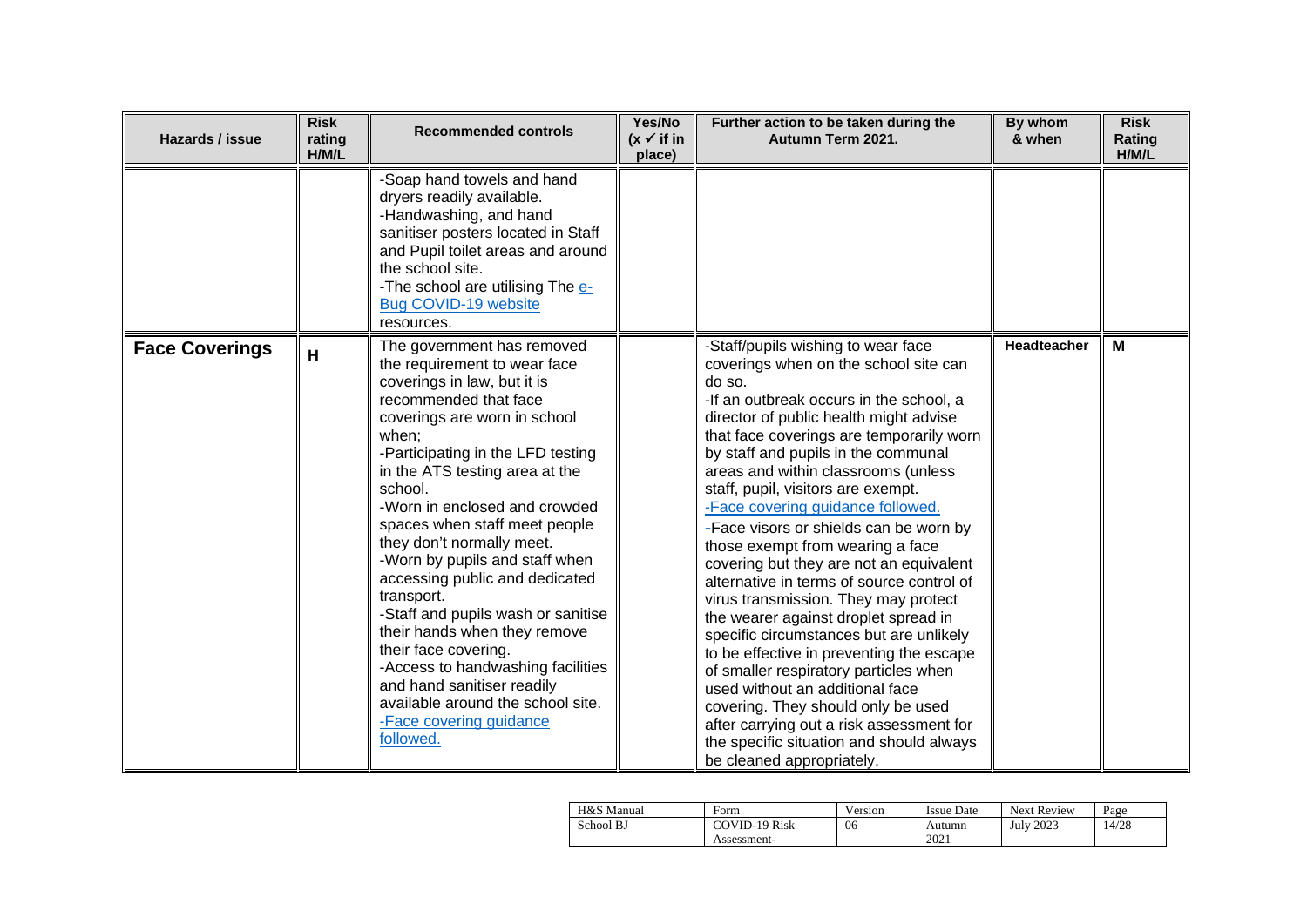| Hazards / issue       | <b>Risk</b><br>rating<br>H/M/L | <b>Recommended controls</b>                                                                                                                                                                                                                                                                                                                                                                                                                                                                                                                                                                                                                                                  | Yes/No<br>$(x \vee$ if in<br>place) | Further action to be taken during the<br>Autumn Term 2021.                                                                                                                                                                                                                                                                                                                                                                                                                                                                                                                                                                                                                                                                                                                                                                                                                                                                                                          | By whom<br>& when  | <b>Risk</b><br>Rating<br>H/M/L |
|-----------------------|--------------------------------|------------------------------------------------------------------------------------------------------------------------------------------------------------------------------------------------------------------------------------------------------------------------------------------------------------------------------------------------------------------------------------------------------------------------------------------------------------------------------------------------------------------------------------------------------------------------------------------------------------------------------------------------------------------------------|-------------------------------------|---------------------------------------------------------------------------------------------------------------------------------------------------------------------------------------------------------------------------------------------------------------------------------------------------------------------------------------------------------------------------------------------------------------------------------------------------------------------------------------------------------------------------------------------------------------------------------------------------------------------------------------------------------------------------------------------------------------------------------------------------------------------------------------------------------------------------------------------------------------------------------------------------------------------------------------------------------------------|--------------------|--------------------------------|
|                       |                                | -Soap hand towels and hand<br>dryers readily available.<br>-Handwashing, and hand<br>sanitiser posters located in Staff<br>and Pupil toilet areas and around<br>the school site.<br>-The school are utilising The e-<br>Bug COVID-19 website<br>resources.                                                                                                                                                                                                                                                                                                                                                                                                                   |                                     |                                                                                                                                                                                                                                                                                                                                                                                                                                                                                                                                                                                                                                                                                                                                                                                                                                                                                                                                                                     |                    |                                |
| <b>Face Coverings</b> | H                              | The government has removed<br>the requirement to wear face<br>coverings in law, but it is<br>recommended that face<br>coverings are worn in school<br>when;<br>-Participating in the LFD testing<br>in the ATS testing area at the<br>school.<br>-Worn in enclosed and crowded<br>spaces when staff meet people<br>they don't normally meet.<br>-Worn by pupils and staff when<br>accessing public and dedicated<br>transport.<br>-Staff and pupils wash or sanitise<br>their hands when they remove<br>their face covering.<br>-Access to handwashing facilities<br>and hand sanitiser readily<br>available around the school site.<br>-Face covering guidance<br>followed. |                                     | -Staff/pupils wishing to wear face<br>coverings when on the school site can<br>do so.<br>-If an outbreak occurs in the school, a<br>director of public health might advise<br>that face coverings are temporarily worn<br>by staff and pupils in the communal<br>areas and within classrooms (unless<br>staff, pupil, visitors are exempt.<br>-Face covering guidance followed.<br>-Face visors or shields can be worn by<br>those exempt from wearing a face<br>covering but they are not an equivalent<br>alternative in terms of source control of<br>virus transmission. They may protect<br>the wearer against droplet spread in<br>specific circumstances but are unlikely<br>to be effective in preventing the escape<br>of smaller respiratory particles when<br>used without an additional face<br>covering. They should only be used<br>after carrying out a risk assessment for<br>the specific situation and should always<br>be cleaned appropriately. | <b>Headteacher</b> | M                              |

| H&S Manual | Form                 | <b>TT</b><br>Version | <b>Issue Date</b> | <b>Next Review</b> | Page  |
|------------|----------------------|----------------------|-------------------|--------------------|-------|
| School BJ  | <b>COVID-19 Risk</b> | 06                   | Autumn            | <b>July 2023</b>   | 14/28 |
|            | Assessment-          |                      | 2021              |                    |       |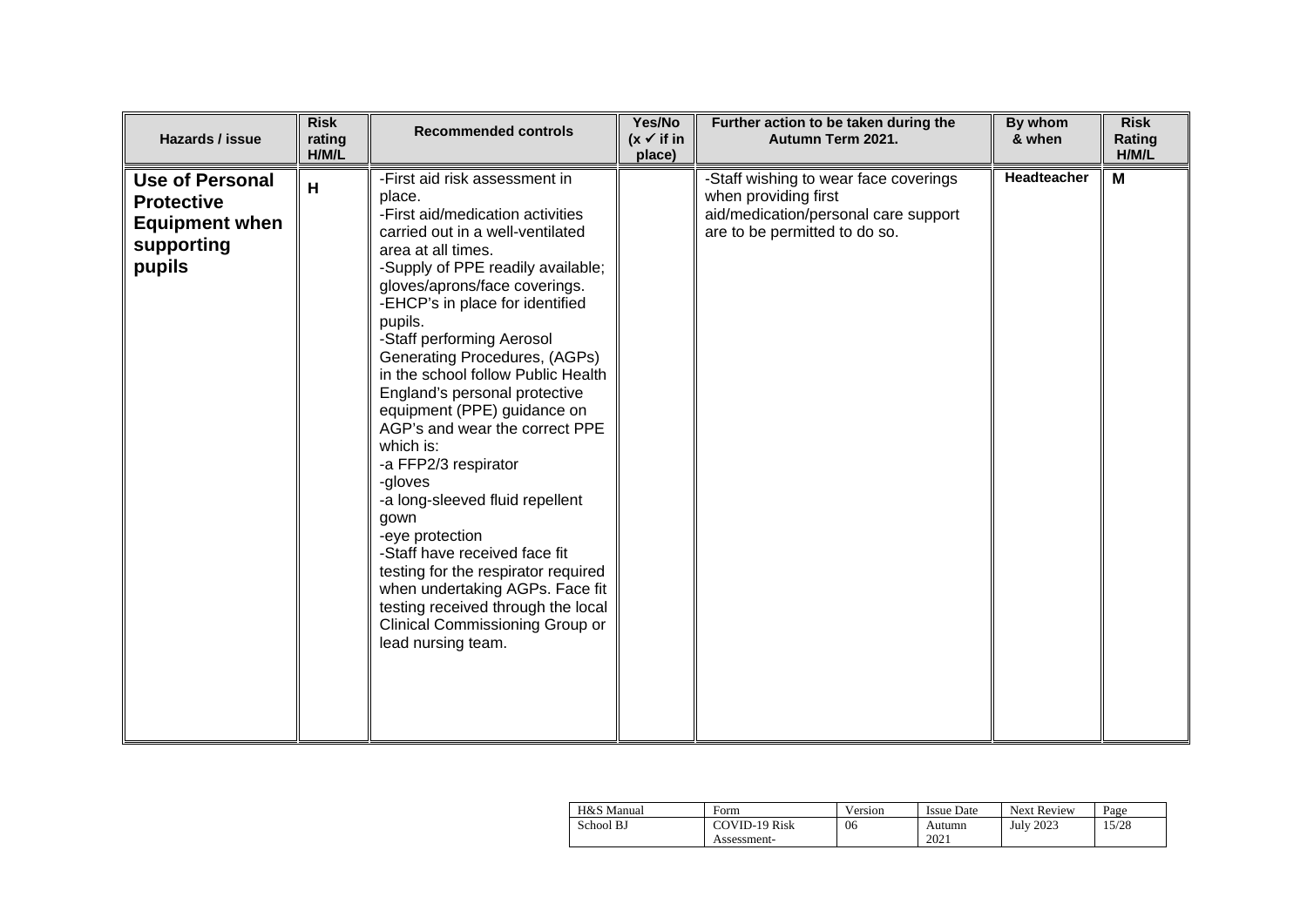| Hazards / issue                                                                       | <b>Risk</b><br>rating<br>H/M/L | <b>Recommended controls</b>                                                                                                                                                                                                                                                                                                                                                                                                                                                                                                                                                                                                                                                                                                                                                             | Yes/No<br>$(x \vee$ if in<br>place) | Further action to be taken during the<br>Autumn Term 2021.                                                                             | By whom<br>& when | <b>Risk</b><br>Rating<br>H/M/L |
|---------------------------------------------------------------------------------------|--------------------------------|-----------------------------------------------------------------------------------------------------------------------------------------------------------------------------------------------------------------------------------------------------------------------------------------------------------------------------------------------------------------------------------------------------------------------------------------------------------------------------------------------------------------------------------------------------------------------------------------------------------------------------------------------------------------------------------------------------------------------------------------------------------------------------------------|-------------------------------------|----------------------------------------------------------------------------------------------------------------------------------------|-------------------|--------------------------------|
| Use of Personal<br><b>Protective</b><br><b>Equipment when</b><br>supporting<br>pupils | H                              | -First aid risk assessment in<br>place.<br>-First aid/medication activities<br>carried out in a well-ventilated<br>area at all times.<br>-Supply of PPE readily available;<br>gloves/aprons/face coverings.<br>-EHCP's in place for identified<br>pupils.<br>-Staff performing Aerosol<br>Generating Procedures, (AGPs)<br>in the school follow Public Health<br>England's personal protective<br>equipment (PPE) guidance on<br>AGP's and wear the correct PPE<br>which is:<br>-a FFP2/3 respirator<br>-gloves<br>-a long-sleeved fluid repellent<br>gown<br>-eye protection<br>-Staff have received face fit<br>testing for the respirator required<br>when undertaking AGPs. Face fit<br>testing received through the local<br>Clinical Commissioning Group or<br>lead nursing team. |                                     | -Staff wishing to wear face coverings<br>when providing first<br>aid/medication/personal care support<br>are to be permitted to do so. | Headteacher       | M                              |

| H&S Manual | Form                 | Version | <b>Issue Date</b> | <b>Next Review</b> | Page  |
|------------|----------------------|---------|-------------------|--------------------|-------|
| School BJ  | <b>COVID-19 Risk</b> | 06      | Autumn            | <b>July 2023</b>   | 15/28 |
|            | Assessment-          |         | 2021              |                    |       |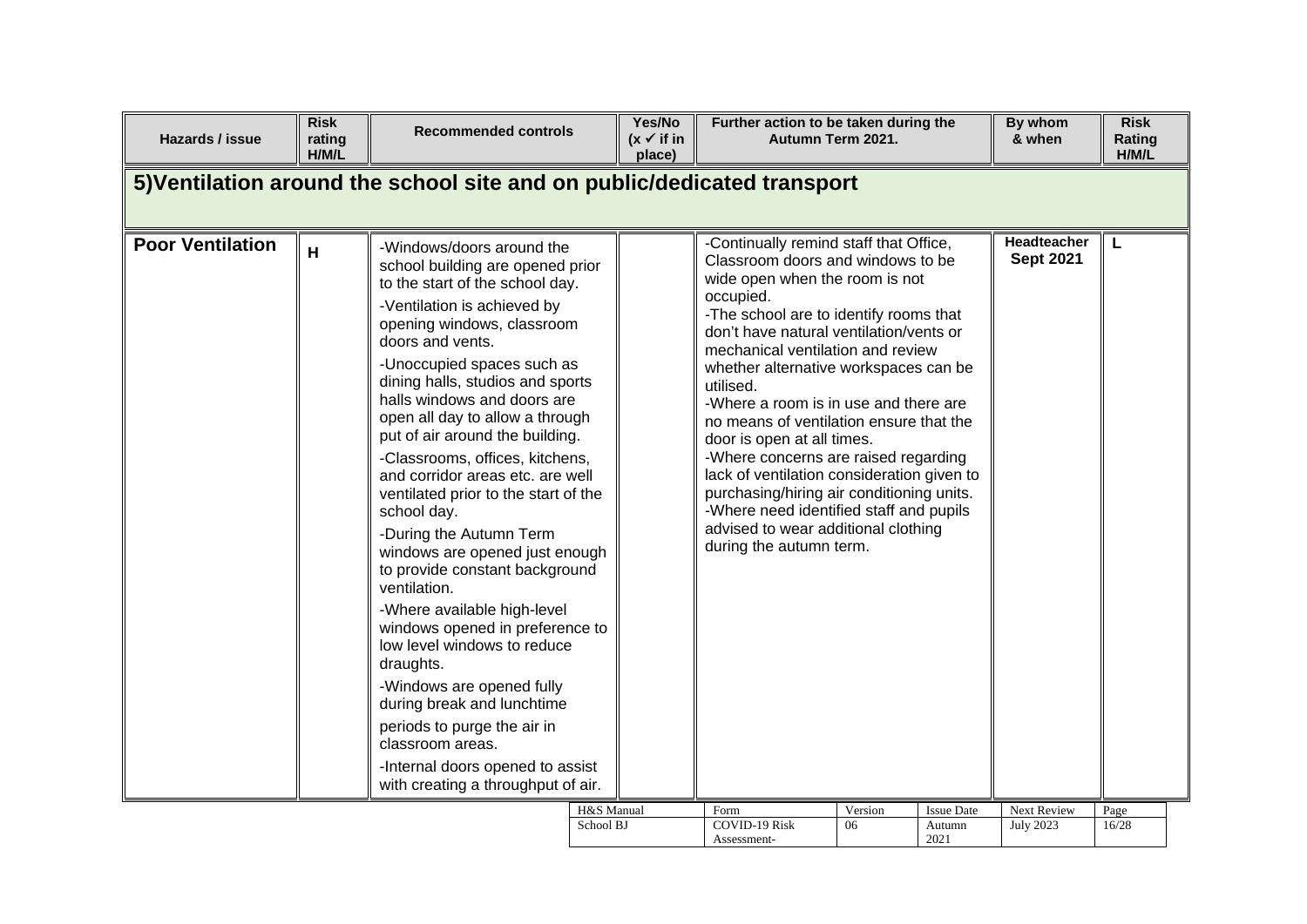| 5) Ventilation around the school site and on public/dedicated transport<br>-Continually remind staff that Office,<br>Headteacher<br><b>Poor Ventilation</b><br>L<br>-Windows/doors around the<br>H<br><b>Sept 2021</b><br>Classroom doors and windows to be<br>school building are opened prior<br>wide open when the room is not<br>to the start of the school day.<br>occupied.<br>-Ventilation is achieved by<br>-The school are to identify rooms that<br>opening windows, classroom<br>don't have natural ventilation/vents or<br>doors and vents.<br>mechanical ventilation and review<br>-Unoccupied spaces such as<br>whether alternative workspaces can be<br>dining halls, studios and sports<br>utilised.<br>halls windows and doors are<br>-Where a room is in use and there are<br>open all day to allow a through<br>no means of ventilation ensure that the<br>put of air around the building.<br>door is open at all times.<br>-Classrooms, offices, kitchens,<br>-Where concerns are raised regarding<br>lack of ventilation consideration given to<br>and corridor areas etc. are well<br>purchasing/hiring air conditioning units.<br>ventilated prior to the start of the<br>-Where need identified staff and pupils<br>school day.<br>advised to wear additional clothing<br>-During the Autumn Term<br>during the autumn term.<br>windows are opened just enough<br>to provide constant background<br>ventilation.<br>-Where available high-level<br>windows opened in preference to<br>low level windows to reduce<br>draughts.<br>-Windows are opened fully<br>during break and lunchtime<br>periods to purge the air in<br>classroom areas.<br>-Internal doors opened to assist<br>with creating a throughput of air.<br>H&S Manual<br>Version<br><b>Issue Date</b><br>Next Review<br>Form<br>Page<br>School BJ<br><b>COVID-19 Risk</b><br>06<br><b>July 2023</b><br>16/28<br>Autumn | Hazards / issue | <b>Risk</b><br>rating<br>H/M/L | <b>Recommended controls</b> | Yes/No<br>$(x \vee$ if in<br>place) | Further action to be taken during the<br>Autumn Term 2021. |  | By whom<br>& when | <b>Risk</b><br>Rating<br>H/M/L |
|---------------------------------------------------------------------------------------------------------------------------------------------------------------------------------------------------------------------------------------------------------------------------------------------------------------------------------------------------------------------------------------------------------------------------------------------------------------------------------------------------------------------------------------------------------------------------------------------------------------------------------------------------------------------------------------------------------------------------------------------------------------------------------------------------------------------------------------------------------------------------------------------------------------------------------------------------------------------------------------------------------------------------------------------------------------------------------------------------------------------------------------------------------------------------------------------------------------------------------------------------------------------------------------------------------------------------------------------------------------------------------------------------------------------------------------------------------------------------------------------------------------------------------------------------------------------------------------------------------------------------------------------------------------------------------------------------------------------------------------------------------------------------------------------------------------------------------------------------------------------------------------------------------------|-----------------|--------------------------------|-----------------------------|-------------------------------------|------------------------------------------------------------|--|-------------------|--------------------------------|
|                                                                                                                                                                                                                                                                                                                                                                                                                                                                                                                                                                                                                                                                                                                                                                                                                                                                                                                                                                                                                                                                                                                                                                                                                                                                                                                                                                                                                                                                                                                                                                                                                                                                                                                                                                                                                                                                                                               |                 |                                |                             |                                     |                                                            |  |                   |                                |
|                                                                                                                                                                                                                                                                                                                                                                                                                                                                                                                                                                                                                                                                                                                                                                                                                                                                                                                                                                                                                                                                                                                                                                                                                                                                                                                                                                                                                                                                                                                                                                                                                                                                                                                                                                                                                                                                                                               |                 |                                |                             |                                     |                                                            |  |                   |                                |
| 2021<br>Assessment-                                                                                                                                                                                                                                                                                                                                                                                                                                                                                                                                                                                                                                                                                                                                                                                                                                                                                                                                                                                                                                                                                                                                                                                                                                                                                                                                                                                                                                                                                                                                                                                                                                                                                                                                                                                                                                                                                           |                 |                                |                             |                                     |                                                            |  |                   |                                |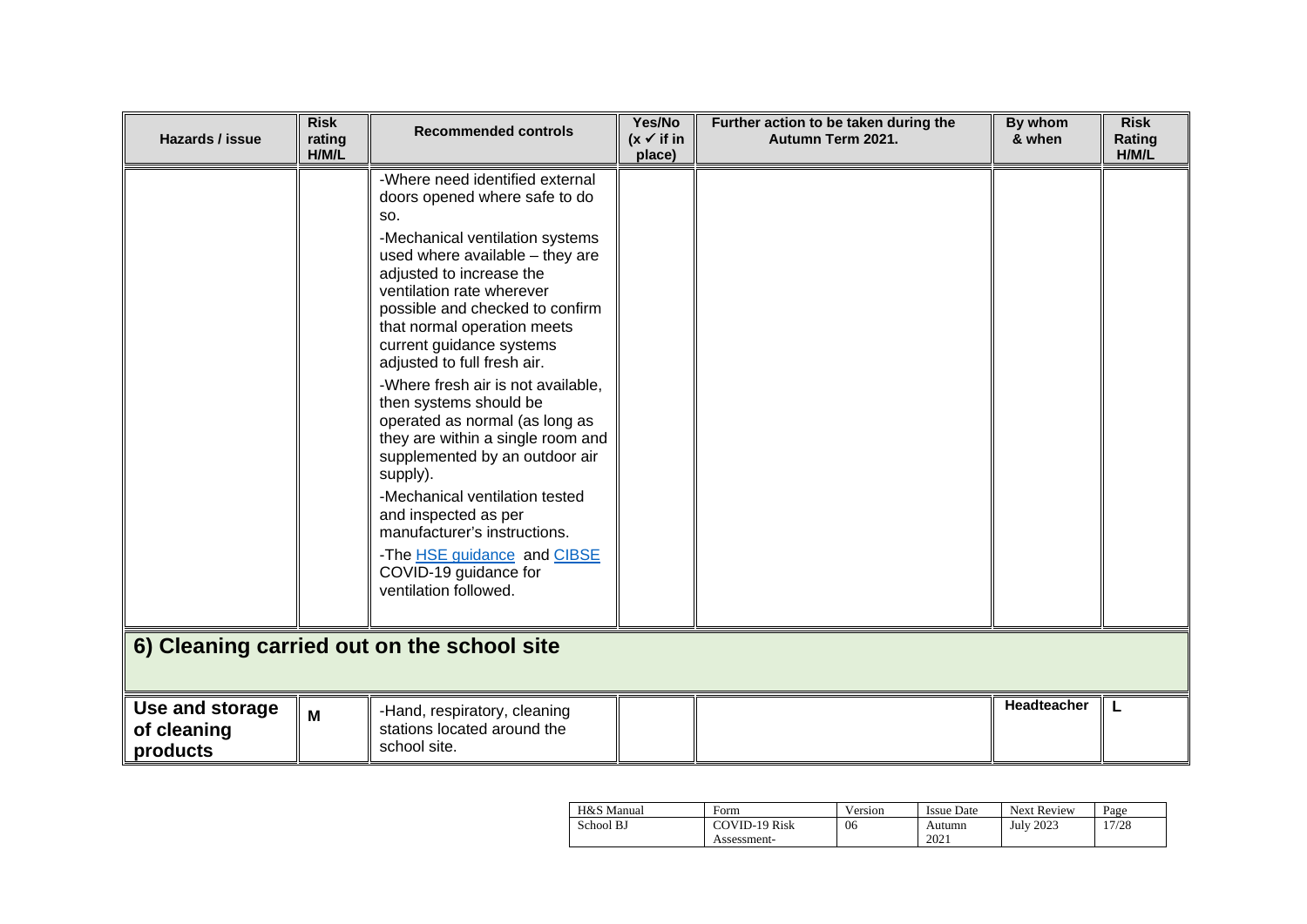| Hazards / issue                            | <b>Risk</b><br>rating<br>H/M/L | <b>Recommended controls</b>                                                                                                                                                                                                                                                                                                                                                                                                                                                                                                                                                                                                                                                                         | Yes/No<br>$(x \vee$ if in<br>place) | Further action to be taken during the<br>Autumn Term 2021. | By whom<br>& when | <b>Risk</b><br>Rating<br>H/M/L |  |  |
|--------------------------------------------|--------------------------------|-----------------------------------------------------------------------------------------------------------------------------------------------------------------------------------------------------------------------------------------------------------------------------------------------------------------------------------------------------------------------------------------------------------------------------------------------------------------------------------------------------------------------------------------------------------------------------------------------------------------------------------------------------------------------------------------------------|-------------------------------------|------------------------------------------------------------|-------------------|--------------------------------|--|--|
|                                            |                                | -Where need identified external<br>doors opened where safe to do<br>SO.<br>-Mechanical ventilation systems<br>used where available - they are<br>adjusted to increase the<br>ventilation rate wherever<br>possible and checked to confirm<br>that normal operation meets<br>current guidance systems<br>adjusted to full fresh air.<br>-Where fresh air is not available,<br>then systems should be<br>operated as normal (as long as<br>they are within a single room and<br>supplemented by an outdoor air<br>supply).<br>-Mechanical ventilation tested<br>and inspected as per<br>manufacturer's instructions.<br>-The HSE guidance and CIBSE<br>COVID-19 guidance for<br>ventilation followed. |                                     |                                                            |                   |                                |  |  |
| 6) Cleaning carried out on the school site |                                |                                                                                                                                                                                                                                                                                                                                                                                                                                                                                                                                                                                                                                                                                                     |                                     |                                                            |                   |                                |  |  |
| Use and storage<br>of cleaning<br>products | M                              | -Hand, respiratory, cleaning<br>stations located around the<br>school site.                                                                                                                                                                                                                                                                                                                                                                                                                                                                                                                                                                                                                         |                                     |                                                            | Headteacher       | L                              |  |  |

| H&S Manual | Form                 | Version | Issue Date | <b>Next Review</b> | Page  |
|------------|----------------------|---------|------------|--------------------|-------|
| School BJ  | <b>COVID-19 Risk</b> | 06      | Autumn     | <b>July 2023</b>   | 17/28 |
|            | Assessment-          |         | 2021       |                    |       |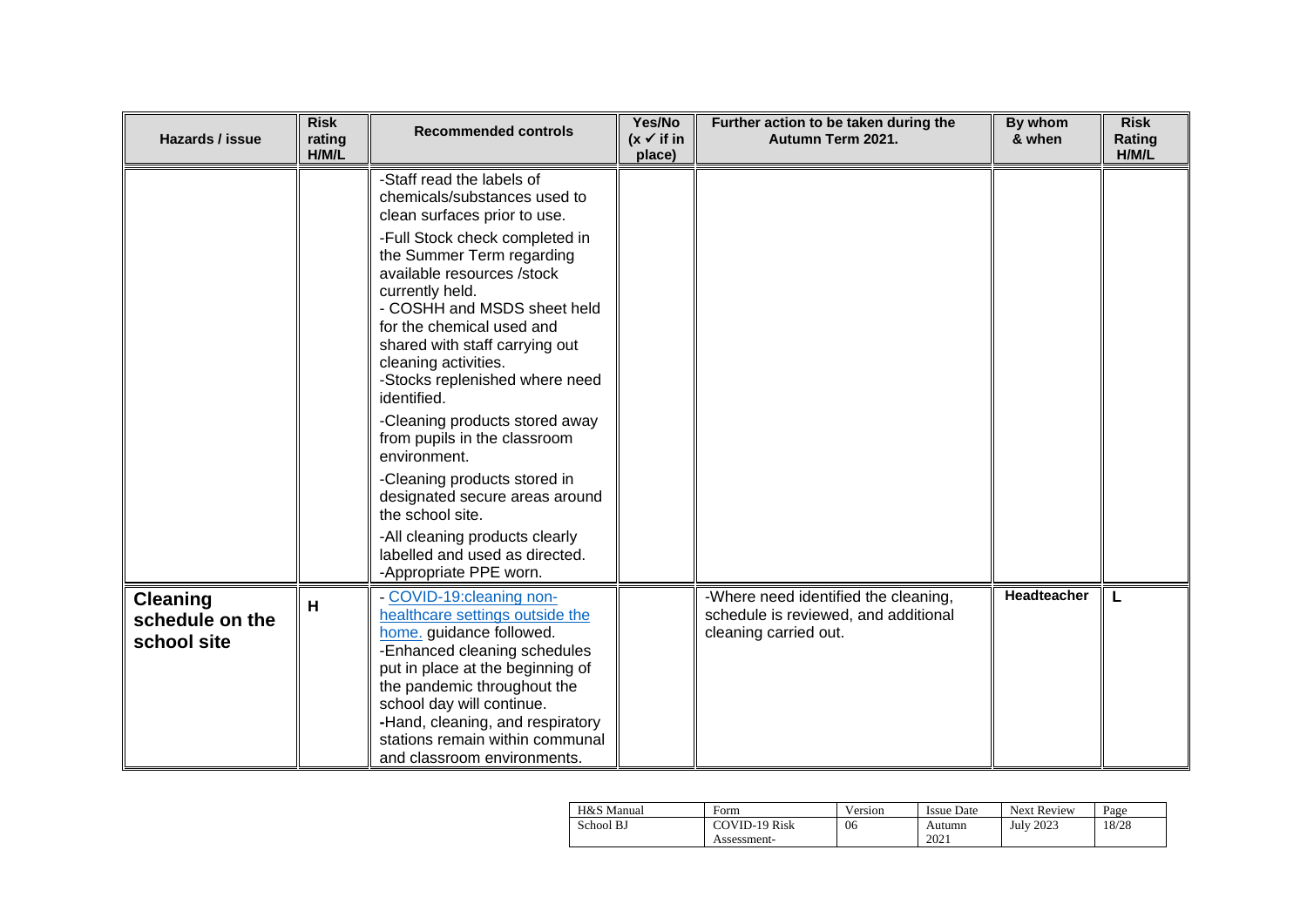| Hazards / issue                                   | <b>Risk</b><br>rating<br>H/M/L | <b>Recommended controls</b>                                                                                                                                                                                                                                                                                                                           | Yes/No<br>$(x \vee$ if in<br>place) | Further action to be taken during the<br>Autumn Term 2021.                                            | By whom<br>& when | <b>Risk</b><br>Rating<br>H/M/L |
|---------------------------------------------------|--------------------------------|-------------------------------------------------------------------------------------------------------------------------------------------------------------------------------------------------------------------------------------------------------------------------------------------------------------------------------------------------------|-------------------------------------|-------------------------------------------------------------------------------------------------------|-------------------|--------------------------------|
|                                                   |                                | -Staff read the labels of<br>chemicals/substances used to<br>clean surfaces prior to use.                                                                                                                                                                                                                                                             |                                     |                                                                                                       |                   |                                |
|                                                   |                                | -Full Stock check completed in<br>the Summer Term regarding<br>available resources /stock<br>currently held.<br>- COSHH and MSDS sheet held<br>for the chemical used and<br>shared with staff carrying out<br>cleaning activities.<br>-Stocks replenished where need<br>identified.<br>-Cleaning products stored away<br>from pupils in the classroom |                                     |                                                                                                       |                   |                                |
|                                                   |                                | environment.<br>-Cleaning products stored in<br>designated secure areas around<br>the school site.                                                                                                                                                                                                                                                    |                                     |                                                                                                       |                   |                                |
|                                                   |                                | -All cleaning products clearly<br>labelled and used as directed.<br>-Appropriate PPE worn.                                                                                                                                                                                                                                                            |                                     |                                                                                                       |                   |                                |
| <b>Cleaning</b><br>schedule on the<br>school site | н                              | COVID-19:cleaning non-<br>healthcare settings outside the<br>home. guidance followed.<br>-Enhanced cleaning schedules<br>put in place at the beginning of<br>the pandemic throughout the<br>school day will continue.<br>-Hand, cleaning, and respiratory<br>stations remain within communal<br>and classroom environments.                           |                                     | -Where need identified the cleaning,<br>schedule is reviewed, and additional<br>cleaning carried out. | Headteacher       | L                              |

| H&S Manual | Form                 | Version | Issue Date | <b>Next Review</b> | Page  |
|------------|----------------------|---------|------------|--------------------|-------|
| School BJ  | <b>COVID-19 Risk</b> | 06      | Autumn     | <b>July 2023</b>   | 18/28 |
|            | Assessment-          |         | 2021       |                    |       |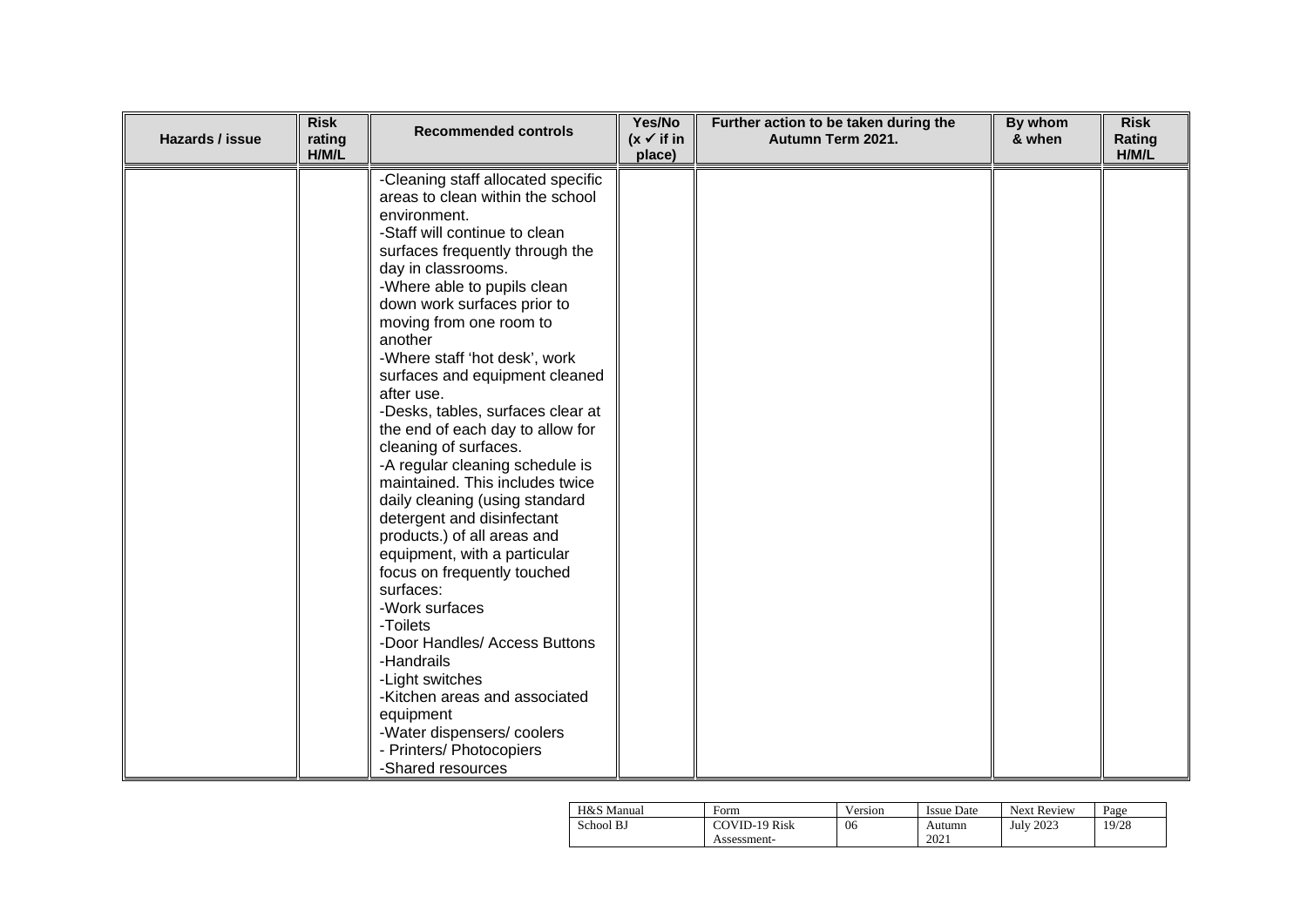| Hazards / issue | <b>Risk</b><br>rating<br>H/M/L | <b>Recommended controls</b>                                                                                                                                                                                                                                                                                                                                                                                                                                                                                                                                                                                                                                                                                                                                                                                                                                                                                                                          | Yes/No<br>$(x \vee$ if in<br>place) | Further action to be taken during the<br>Autumn Term 2021. | By whom<br>& when | <b>Risk</b><br>Rating<br>H/M/L |
|-----------------|--------------------------------|------------------------------------------------------------------------------------------------------------------------------------------------------------------------------------------------------------------------------------------------------------------------------------------------------------------------------------------------------------------------------------------------------------------------------------------------------------------------------------------------------------------------------------------------------------------------------------------------------------------------------------------------------------------------------------------------------------------------------------------------------------------------------------------------------------------------------------------------------------------------------------------------------------------------------------------------------|-------------------------------------|------------------------------------------------------------|-------------------|--------------------------------|
|                 |                                | -Cleaning staff allocated specific<br>areas to clean within the school<br>environment.<br>-Staff will continue to clean<br>surfaces frequently through the<br>day in classrooms.<br>-Where able to pupils clean<br>down work surfaces prior to<br>moving from one room to<br>another<br>-Where staff 'hot desk', work<br>surfaces and equipment cleaned<br>after use.<br>-Desks, tables, surfaces clear at<br>the end of each day to allow for<br>cleaning of surfaces.<br>-A regular cleaning schedule is<br>maintained. This includes twice<br>daily cleaning (using standard<br>detergent and disinfectant<br>products.) of all areas and<br>equipment, with a particular<br>focus on frequently touched<br>surfaces:<br>-Work surfaces<br>-Toilets<br>-Door Handles/ Access Buttons<br>-Handrails<br>-Light switches<br>-Kitchen areas and associated<br>equipment<br>-Water dispensers/coolers<br>- Printers/ Photocopiers<br>-Shared resources |                                     |                                                            |                   |                                |

| H&S Manual | Form                 | Version | <b>Issue Date</b> | <b>Next Review</b> | Page  |
|------------|----------------------|---------|-------------------|--------------------|-------|
| School BJ  | <b>COVID-19 Risk</b> | 06      | Autumn            | <b>July 2023</b>   | 19/28 |
|            | Assessment-          |         | 202 <sub>1</sub>  |                    |       |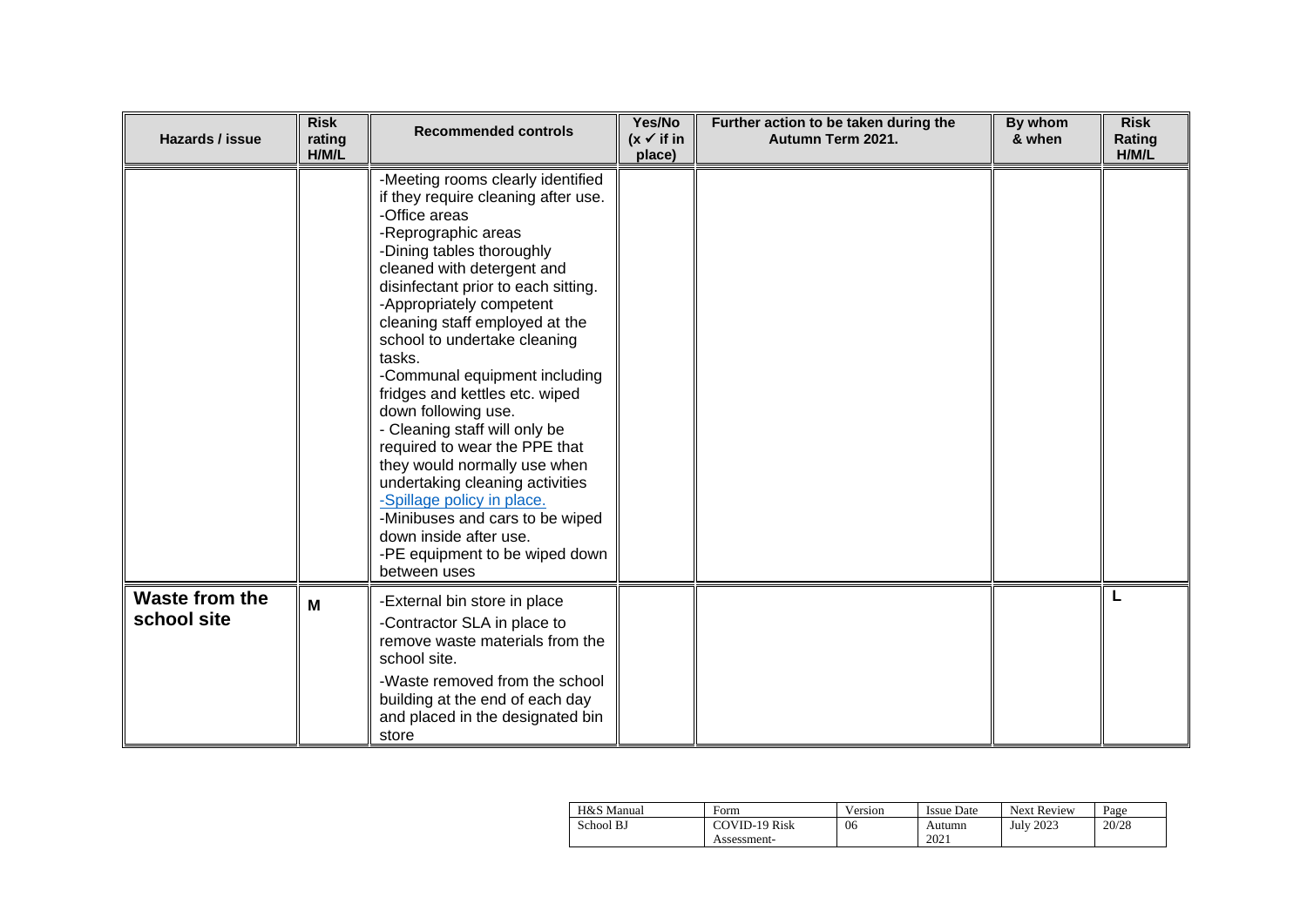| Hazards / issue               | <b>Risk</b><br>rating<br>H/M/L | <b>Recommended controls</b>                                                                                                                                                                                                                                                                                                                                                                                                                                                                                                                                                                                                                                                                            | Yes/No<br>$(x \vee$ if in<br>place) | Further action to be taken during the<br>Autumn Term 2021. | By whom<br>& when | <b>Risk</b><br>Rating<br>H/M/L |
|-------------------------------|--------------------------------|--------------------------------------------------------------------------------------------------------------------------------------------------------------------------------------------------------------------------------------------------------------------------------------------------------------------------------------------------------------------------------------------------------------------------------------------------------------------------------------------------------------------------------------------------------------------------------------------------------------------------------------------------------------------------------------------------------|-------------------------------------|------------------------------------------------------------|-------------------|--------------------------------|
|                               |                                | -Meeting rooms clearly identified<br>if they require cleaning after use.<br>-Office areas<br>-Reprographic areas<br>-Dining tables thoroughly<br>cleaned with detergent and<br>disinfectant prior to each sitting.<br>-Appropriately competent<br>cleaning staff employed at the<br>school to undertake cleaning<br>tasks.<br>-Communal equipment including<br>fridges and kettles etc. wiped<br>down following use.<br>- Cleaning staff will only be<br>required to wear the PPE that<br>they would normally use when<br>undertaking cleaning activities<br>-Spillage policy in place.<br>-Minibuses and cars to be wiped<br>down inside after use.<br>-PE equipment to be wiped down<br>between uses |                                     |                                                            |                   |                                |
| Waste from the<br>school site | M                              | -External bin store in place<br>-Contractor SLA in place to<br>remove waste materials from the<br>school site.<br>-Waste removed from the school<br>building at the end of each day<br>and placed in the designated bin<br>store                                                                                                                                                                                                                                                                                                                                                                                                                                                                       |                                     |                                                            |                   |                                |

| H&S Manual | Form                 | Version | <b>Issue Date</b> | <b>Next Review</b> | Page  |
|------------|----------------------|---------|-------------------|--------------------|-------|
| School BJ  | <b>COVID-19 Risk</b> | 06      | Autumn            | July 2023          | 20/28 |
|            | Assessment-          |         | 2021              |                    |       |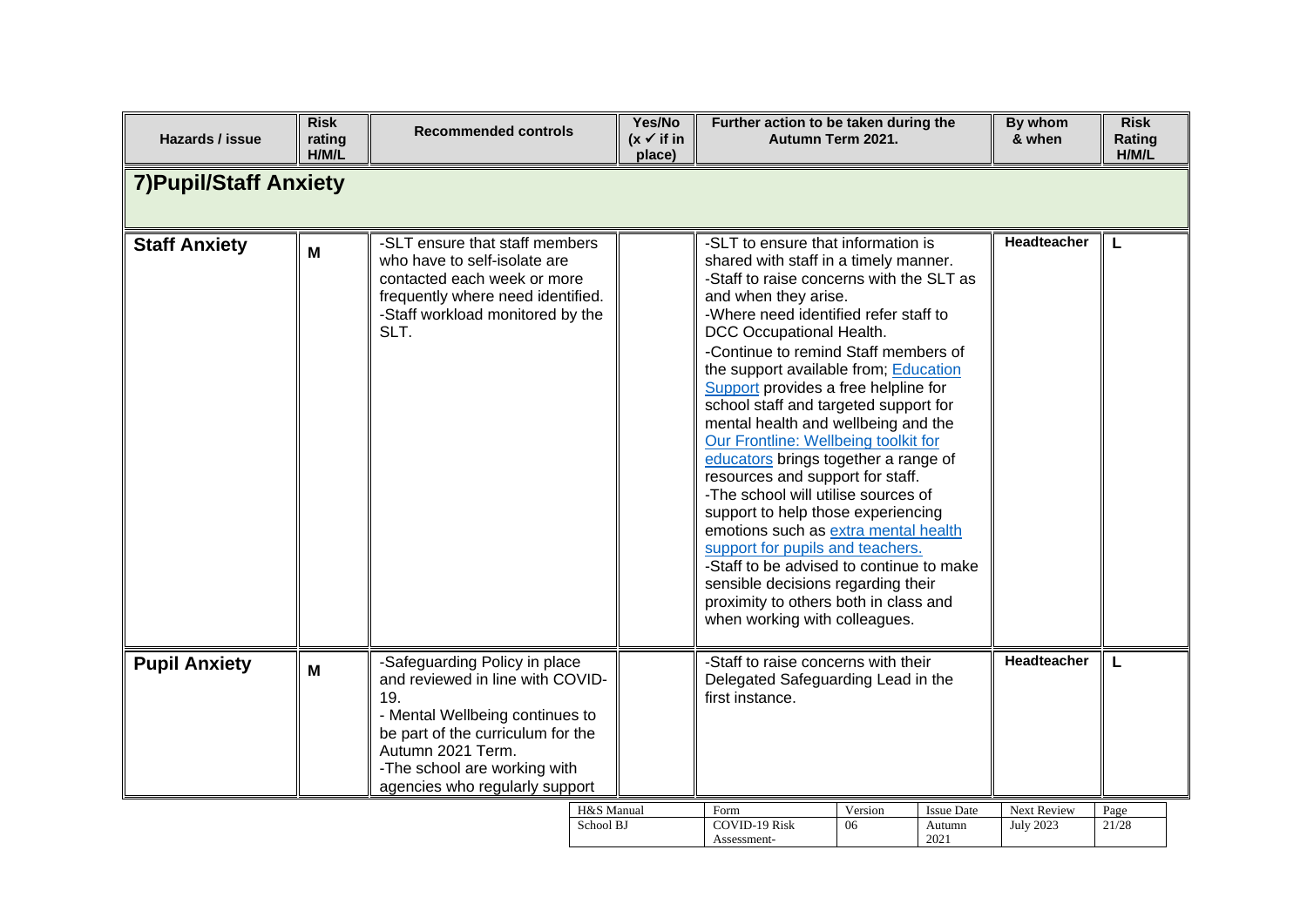| Hazards / issue               | <b>Risk</b><br>rating<br>H/M/L | <b>Recommended controls</b>                                                                                                                                                                                                             | Yes/No<br>$(x \checkmark)$ if in<br>place) | Further action to be taken during the                                                                                                                                                                                                                                                                                                                                                                                                                                                                                                                                                                                                                                                                                                                                                                                                                                  | Autumn Term 2021. |                                     | By whom<br>& when               | <b>Risk</b><br>Rating<br>H/M/L |
|-------------------------------|--------------------------------|-----------------------------------------------------------------------------------------------------------------------------------------------------------------------------------------------------------------------------------------|--------------------------------------------|------------------------------------------------------------------------------------------------------------------------------------------------------------------------------------------------------------------------------------------------------------------------------------------------------------------------------------------------------------------------------------------------------------------------------------------------------------------------------------------------------------------------------------------------------------------------------------------------------------------------------------------------------------------------------------------------------------------------------------------------------------------------------------------------------------------------------------------------------------------------|-------------------|-------------------------------------|---------------------------------|--------------------------------|
| <b>7) Pupil/Staff Anxiety</b> |                                |                                                                                                                                                                                                                                         |                                            |                                                                                                                                                                                                                                                                                                                                                                                                                                                                                                                                                                                                                                                                                                                                                                                                                                                                        |                   |                                     |                                 |                                |
| <b>Staff Anxiety</b>          | M                              | -SLT ensure that staff members<br>who have to self-isolate are<br>contacted each week or more<br>frequently where need identified.<br>-Staff workload monitored by the<br>SLT.                                                          |                                            | -SLT to ensure that information is<br>shared with staff in a timely manner.<br>-Staff to raise concerns with the SLT as<br>and when they arise.<br>-Where need identified refer staff to<br>DCC Occupational Health.<br>-Continue to remind Staff members of<br>the support available from; Education<br>Support provides a free helpline for<br>school staff and targeted support for<br>mental health and wellbeing and the<br>Our Frontline: Wellbeing toolkit for<br>educators brings together a range of<br>resources and support for staff.<br>-The school will utilise sources of<br>support to help those experiencing<br>emotions such as extra mental health<br>support for pupils and teachers.<br>-Staff to be advised to continue to make<br>sensible decisions regarding their<br>proximity to others both in class and<br>when working with colleagues. |                   |                                     | Headteacher                     |                                |
| <b>Pupil Anxiety</b>          | M                              | -Safeguarding Policy in place<br>and reviewed in line with COVID-<br>19.<br>- Mental Wellbeing continues to<br>be part of the curriculum for the<br>Autumn 2021 Term.<br>-The school are working with<br>agencies who regularly support |                                            | -Staff to raise concerns with their<br>Delegated Safeguarding Lead in the<br>first instance.                                                                                                                                                                                                                                                                                                                                                                                                                                                                                                                                                                                                                                                                                                                                                                           |                   |                                     | <b>Headteacher</b>              | L                              |
|                               |                                |                                                                                                                                                                                                                                         | H&S Manual<br>School BJ                    | Form<br><b>COVID-19 Risk</b><br>Assessment-                                                                                                                                                                                                                                                                                                                                                                                                                                                                                                                                                                                                                                                                                                                                                                                                                            | Version<br>06     | <b>Issue Date</b><br>Autumn<br>2021 | Next Review<br><b>July 2023</b> | Page<br>21/28                  |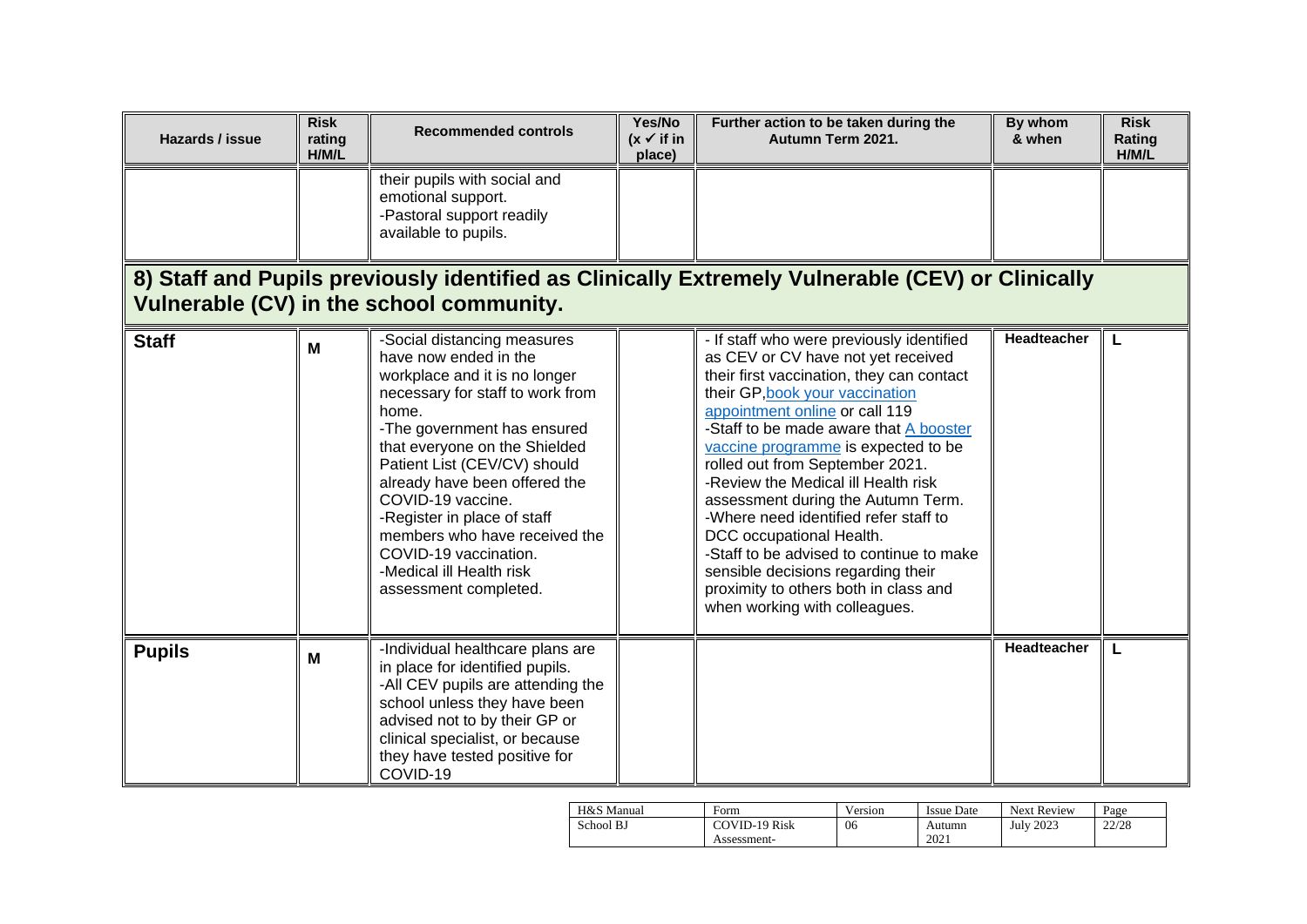| Hazards / issue | <b>Risk</b><br>rating<br>H/M/L | <b>Recommended controls</b>                                                                                                                                                                                                                                                                                                                                                                                                            | Yes/No<br>$(x \vee$ if in<br>place) | Further action to be taken during the<br>Autumn Term 2021.                                                                                                                                                                                                                                                                                                                                                                                                                                                                                                                                                                          | By whom<br>& when  | <b>Risk</b><br>Rating<br>H/M/L |
|-----------------|--------------------------------|----------------------------------------------------------------------------------------------------------------------------------------------------------------------------------------------------------------------------------------------------------------------------------------------------------------------------------------------------------------------------------------------------------------------------------------|-------------------------------------|-------------------------------------------------------------------------------------------------------------------------------------------------------------------------------------------------------------------------------------------------------------------------------------------------------------------------------------------------------------------------------------------------------------------------------------------------------------------------------------------------------------------------------------------------------------------------------------------------------------------------------------|--------------------|--------------------------------|
|                 |                                | their pupils with social and<br>emotional support.<br>-Pastoral support readily<br>available to pupils.                                                                                                                                                                                                                                                                                                                                |                                     |                                                                                                                                                                                                                                                                                                                                                                                                                                                                                                                                                                                                                                     |                    |                                |
|                 |                                | Vulnerable (CV) in the school community.                                                                                                                                                                                                                                                                                                                                                                                               |                                     | 8) Staff and Pupils previously identified as Clinically Extremely Vulnerable (CEV) or Clinically                                                                                                                                                                                                                                                                                                                                                                                                                                                                                                                                    |                    |                                |
| <b>Staff</b>    | M                              | -Social distancing measures<br>have now ended in the<br>workplace and it is no longer<br>necessary for staff to work from<br>home.<br>-The government has ensured<br>that everyone on the Shielded<br>Patient List (CEV/CV) should<br>already have been offered the<br>COVID-19 vaccine.<br>-Register in place of staff<br>members who have received the<br>COVID-19 vaccination.<br>-Medical ill Health risk<br>assessment completed. |                                     | - If staff who were previously identified<br>as CEV or CV have not yet received<br>their first vaccination, they can contact<br>their GP, book your vaccination<br>appointment online or call 119<br>-Staff to be made aware that A booster<br>vaccine programme is expected to be<br>rolled out from September 2021.<br>-Review the Medical ill Health risk<br>assessment during the Autumn Term.<br>-Where need identified refer staff to<br>DCC occupational Health.<br>-Staff to be advised to continue to make<br>sensible decisions regarding their<br>proximity to others both in class and<br>when working with colleagues. | <b>Headteacher</b> |                                |
| <b>Pupils</b>   | M                              | -Individual healthcare plans are<br>in place for identified pupils.<br>-All CEV pupils are attending the<br>school unless they have been<br>advised not to by their GP or<br>clinical specialist, or because<br>they have tested positive for<br>COVID-19                                                                                                                                                                              |                                     |                                                                                                                                                                                                                                                                                                                                                                                                                                                                                                                                                                                                                                     | Headteacher        | L                              |

| H&S Manual | Form          | Version | <b>Issue Date</b> | <b>Next Review</b> | Page  |
|------------|---------------|---------|-------------------|--------------------|-------|
| School BJ  | COVID-19 Risk | 06      | Autumn            | July 2023          | 22/28 |
|            | Assessment-   |         | 2021              |                    |       |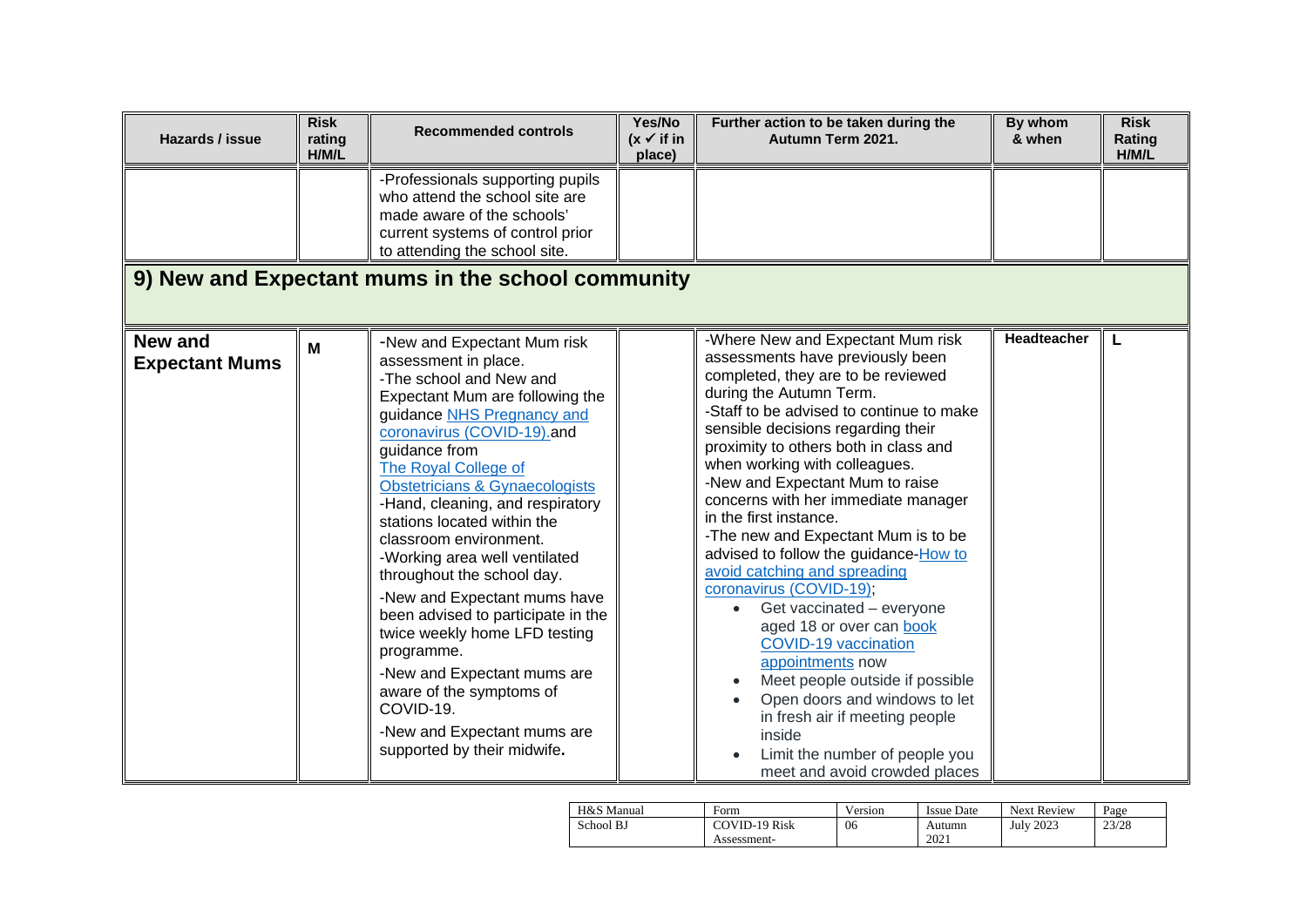| Hazards / issue                         | <b>Risk</b><br>rating<br>H/M/L | <b>Recommended controls</b>                                                                                                                                                                                                                                                                                                                                                                                                                                                                                                                                                                                                                                                                | Yes/No<br>$(x \vee$ if in<br>place) | Further action to be taken during the<br>Autumn Term 2021.                                                                                                                                                                                                                                                                                                                                                                                                                                                                                                                                                                                                                                                                                                                                                                                       | By whom<br>& when  | <b>Risk</b><br>Rating<br>H/M/L |
|-----------------------------------------|--------------------------------|--------------------------------------------------------------------------------------------------------------------------------------------------------------------------------------------------------------------------------------------------------------------------------------------------------------------------------------------------------------------------------------------------------------------------------------------------------------------------------------------------------------------------------------------------------------------------------------------------------------------------------------------------------------------------------------------|-------------------------------------|--------------------------------------------------------------------------------------------------------------------------------------------------------------------------------------------------------------------------------------------------------------------------------------------------------------------------------------------------------------------------------------------------------------------------------------------------------------------------------------------------------------------------------------------------------------------------------------------------------------------------------------------------------------------------------------------------------------------------------------------------------------------------------------------------------------------------------------------------|--------------------|--------------------------------|
|                                         |                                | -Professionals supporting pupils<br>who attend the school site are<br>made aware of the schools'<br>current systems of control prior<br>to attending the school site.                                                                                                                                                                                                                                                                                                                                                                                                                                                                                                                      |                                     |                                                                                                                                                                                                                                                                                                                                                                                                                                                                                                                                                                                                                                                                                                                                                                                                                                                  |                    |                                |
|                                         |                                | 9) New and Expectant mums in the school community                                                                                                                                                                                                                                                                                                                                                                                                                                                                                                                                                                                                                                          |                                     |                                                                                                                                                                                                                                                                                                                                                                                                                                                                                                                                                                                                                                                                                                                                                                                                                                                  |                    |                                |
| <b>New and</b><br><b>Expectant Mums</b> | M                              | -New and Expectant Mum risk<br>assessment in place.<br>-The school and New and<br>Expectant Mum are following the<br>guidance NHS Pregnancy and<br>coronavirus (COVID-19).and<br>guidance from<br>The Royal College of<br><b>Obstetricians &amp; Gynaecologists</b><br>-Hand, cleaning, and respiratory<br>stations located within the<br>classroom environment.<br>-Working area well ventilated<br>throughout the school day.<br>-New and Expectant mums have<br>been advised to participate in the<br>twice weekly home LFD testing<br>programme.<br>-New and Expectant mums are<br>aware of the symptoms of<br>COVID-19.<br>-New and Expectant mums are<br>supported by their midwife. |                                     | -Where New and Expectant Mum risk<br>assessments have previously been<br>completed, they are to be reviewed<br>during the Autumn Term.<br>-Staff to be advised to continue to make<br>sensible decisions regarding their<br>proximity to others both in class and<br>when working with colleagues.<br>-New and Expectant Mum to raise<br>concerns with her immediate manager<br>in the first instance.<br>-The new and Expectant Mum is to be<br>advised to follow the guidance-How to<br>avoid catching and spreading<br>coronavirus (COVID-19);<br>Get vaccinated - everyone<br>aged 18 or over can book<br><b>COVID-19 vaccination</b><br>appointments now<br>Meet people outside if possible<br>Open doors and windows to let<br>in fresh air if meeting people<br>inside<br>Limit the number of people you<br>meet and avoid crowded places | <b>Headteacher</b> | L                              |

| H&S Manual | Form          | Version | <b>Issue Date</b> | <b>Next Review</b> | Page  |
|------------|---------------|---------|-------------------|--------------------|-------|
| School BJ  | COVID-19 Risk | 06      | Autumn            | <b>July 2023</b>   | 23/28 |
|            | Assessment-   |         | 2021              |                    |       |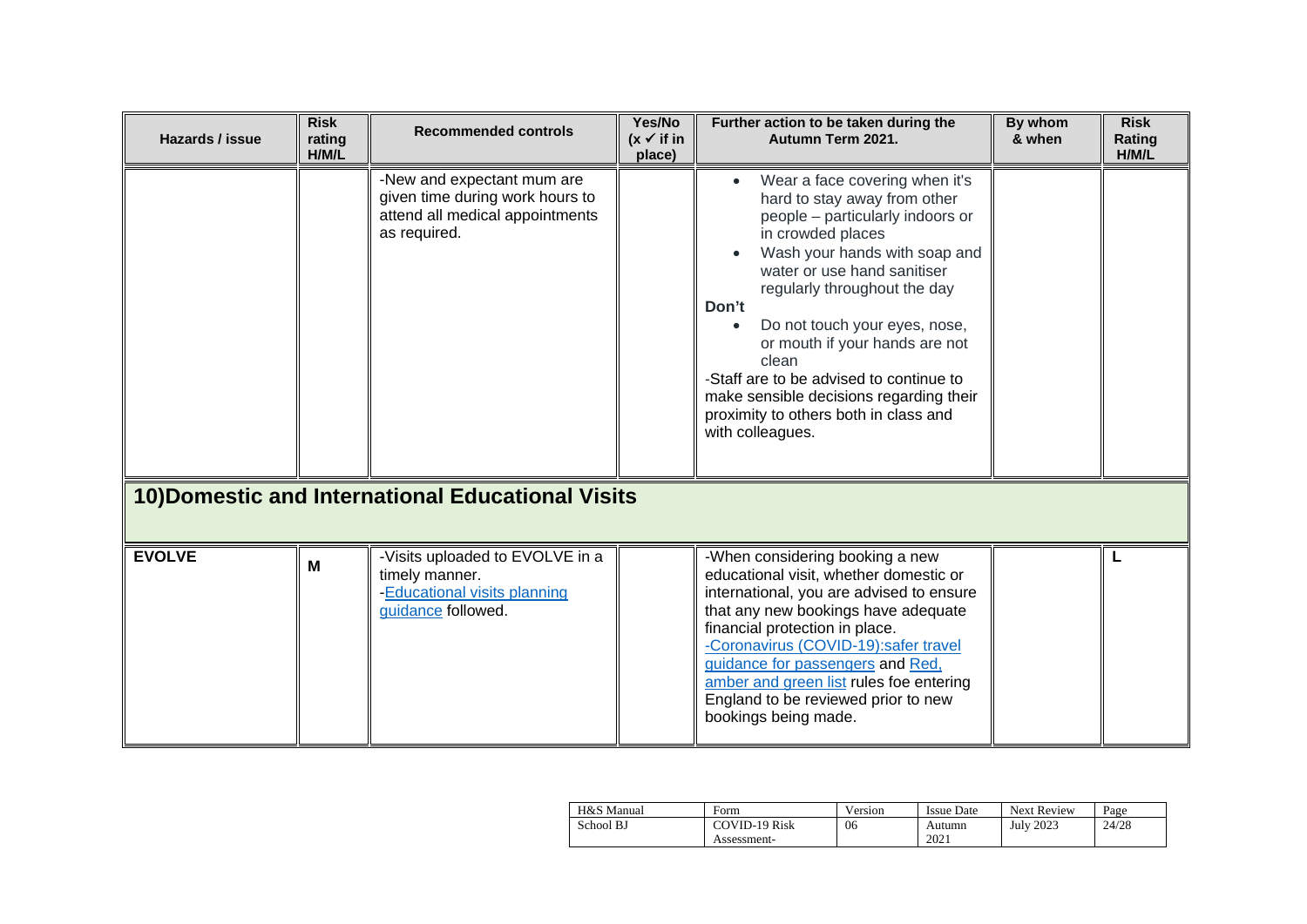| Hazards / issue | <b>Risk</b><br>rating<br>H/M/L | <b>Recommended controls</b>                                                                                      | Yes/No<br>$(x \vee$ if in<br>place) | Further action to be taken during the<br>Autumn Term 2021.                                                                                                                                                                                                                                                                                                                                                                                                                   | By whom<br>& when | <b>Risk</b><br>Rating<br>H/M/L |
|-----------------|--------------------------------|------------------------------------------------------------------------------------------------------------------|-------------------------------------|------------------------------------------------------------------------------------------------------------------------------------------------------------------------------------------------------------------------------------------------------------------------------------------------------------------------------------------------------------------------------------------------------------------------------------------------------------------------------|-------------------|--------------------------------|
|                 |                                | -New and expectant mum are<br>given time during work hours to<br>attend all medical appointments<br>as required. |                                     | Wear a face covering when it's<br>$\bullet$<br>hard to stay away from other<br>people - particularly indoors or<br>in crowded places<br>Wash your hands with soap and<br>water or use hand sanitiser<br>regularly throughout the day<br>Don't<br>Do not touch your eyes, nose,<br>or mouth if your hands are not<br>clean<br>-Staff are to be advised to continue to<br>make sensible decisions regarding their<br>proximity to others both in class and<br>with colleagues. |                   |                                |
|                 |                                | 10) Domestic and International Educational Visits                                                                |                                     |                                                                                                                                                                                                                                                                                                                                                                                                                                                                              |                   |                                |
| <b>EVOLVE</b>   | M                              | -Visits uploaded to EVOLVE in a<br>timely manner.<br>-Educational visits planning<br>guidance followed.          |                                     | -When considering booking a new<br>educational visit, whether domestic or<br>international, you are advised to ensure<br>that any new bookings have adequate<br>financial protection in place.<br>-Coronavirus (COVID-19):safer travel<br>guidance for passengers and Red,<br>amber and green list rules foe entering<br>England to be reviewed prior to new<br>bookings being made.                                                                                         |                   | L                              |

| H&S Manual | Form                 | Version | <b>Issue Date</b> | <b>Next Review</b> | Page  |
|------------|----------------------|---------|-------------------|--------------------|-------|
| School BJ  | <b>COVID-19 Risk</b> | 06      | Autumn            | <b>July 2023</b>   | 24/28 |
|            | Assessment-          |         | 2021              |                    |       |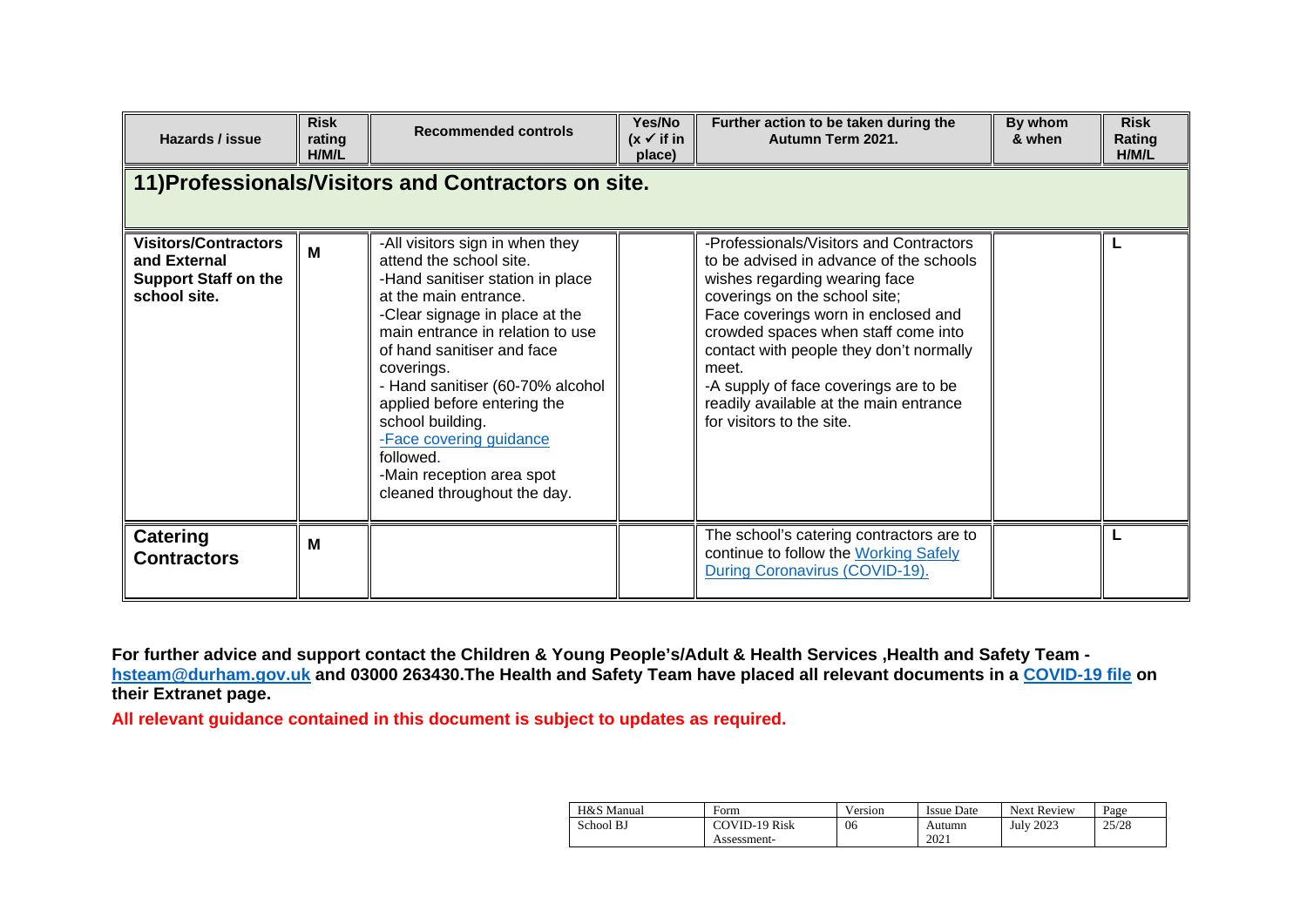| Hazards / issue                                                                            | <b>Risk</b><br>rating<br>H/M/L | <b>Recommended controls</b>                                                                                                                                                                                                                                                                                                                                                                                                          | Yes/No<br>$(x \vee$ if in<br>place) | Further action to be taken during the<br>Autumn Term 2021.                                                                                                                                                                                                                                                                                                                                             | By whom<br>& when | <b>Risk</b><br>Rating<br><b>H/M/L</b> |
|--------------------------------------------------------------------------------------------|--------------------------------|--------------------------------------------------------------------------------------------------------------------------------------------------------------------------------------------------------------------------------------------------------------------------------------------------------------------------------------------------------------------------------------------------------------------------------------|-------------------------------------|--------------------------------------------------------------------------------------------------------------------------------------------------------------------------------------------------------------------------------------------------------------------------------------------------------------------------------------------------------------------------------------------------------|-------------------|---------------------------------------|
|                                                                                            |                                | 11) Professionals/Visitors and Contractors on site.                                                                                                                                                                                                                                                                                                                                                                                  |                                     |                                                                                                                                                                                                                                                                                                                                                                                                        |                   |                                       |
| <b>Visitors/Contractors</b><br>and External<br><b>Support Staff on the</b><br>school site. | M                              | -All visitors sign in when they<br>attend the school site.<br>-Hand sanitiser station in place<br>at the main entrance.<br>-Clear signage in place at the<br>main entrance in relation to use<br>of hand sanitiser and face<br>coverings.<br>- Hand sanitiser (60-70% alcohol<br>applied before entering the<br>school building.<br>-Face covering guidance<br>followed.<br>-Main reception area spot<br>cleaned throughout the day. |                                     | -Professionals/Visitors and Contractors<br>to be advised in advance of the schools<br>wishes regarding wearing face<br>coverings on the school site;<br>Face coverings worn in enclosed and<br>crowded spaces when staff come into<br>contact with people they don't normally<br>meet.<br>-A supply of face coverings are to be<br>readily available at the main entrance<br>for visitors to the site. |                   |                                       |
| <b>Catering</b><br><b>Contractors</b>                                                      | M                              |                                                                                                                                                                                                                                                                                                                                                                                                                                      |                                     | The school's catering contractors are to<br>continue to follow the Working Safely<br>During Coronavirus (COVID-19).                                                                                                                                                                                                                                                                                    |                   |                                       |

**For further advice and support contact the Children & Young People's/Adult & Health Services ,Health and Safety Team [hsteam@durham.gov.uk](mailto:hsteam@durham.gov.uk) and 03000 263430.The Health and Safety Team have placed all relevant documents in a [COVID-19 file](https://gateway.durhamschools.org.uk/premises/healthsafety/Lists/Covid19/Document.aspx?ID=1&Source=https://gateway.durhamschools.org.uk/premises/healthsafety%2FLists/Covid19) on their Extranet page.**

**All relevant guidance contained in this document is subject to updates as required.**

| H&S Manual | Form                 | Version | <b>Issue Date</b> | <b>Next Review</b> | Page  |
|------------|----------------------|---------|-------------------|--------------------|-------|
| School BJ  | <b>COVID-19 Risk</b> | 06      | Autumn            | <b>July 2023</b>   | 25/28 |
|            | Assessment-          |         | 2021              |                    |       |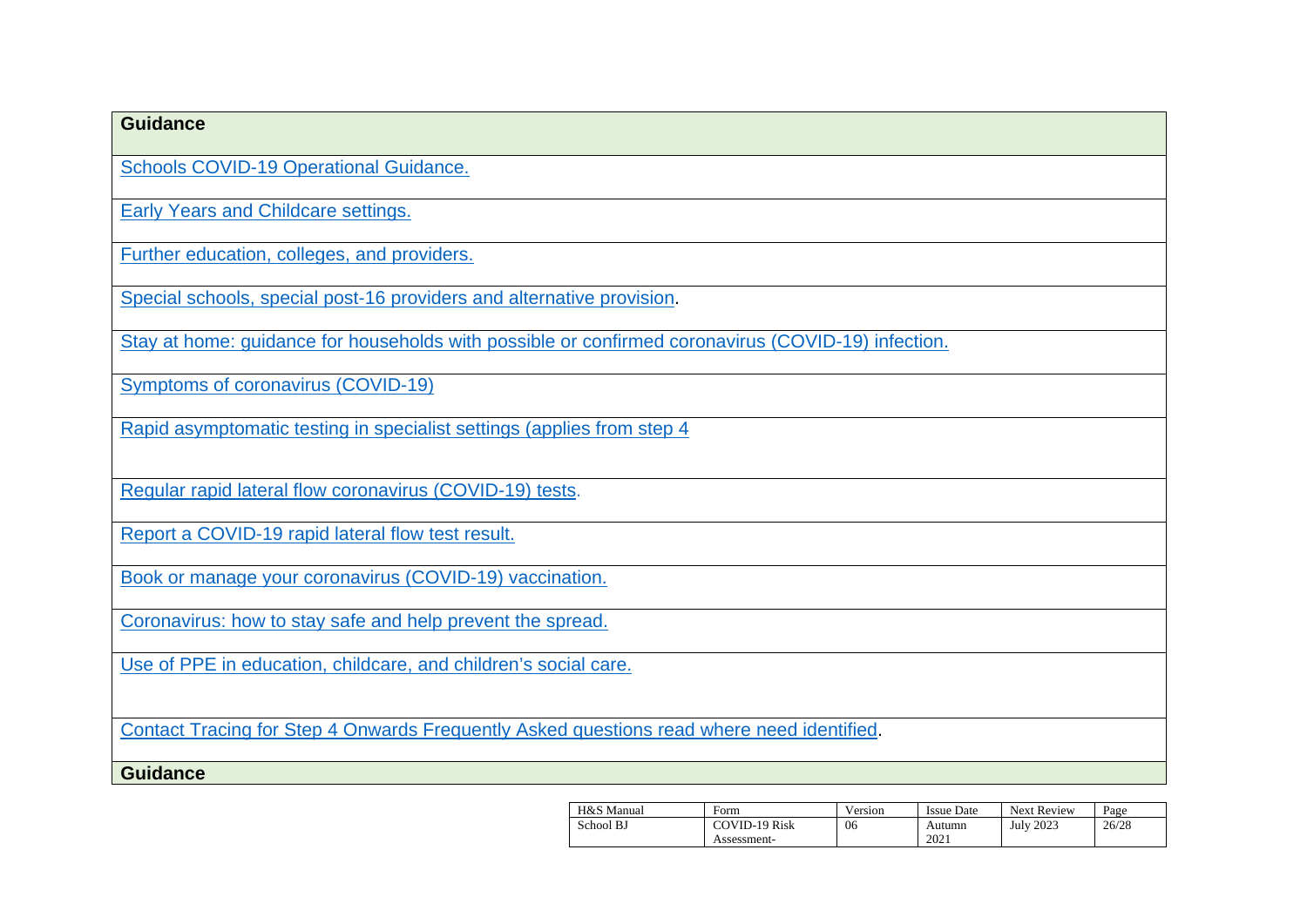| <b>Guidance</b>                                                                                    |
|----------------------------------------------------------------------------------------------------|
| <b>Schools COVID-19 Operational Guidance.</b>                                                      |
| <b>Early Years and Childcare settings.</b>                                                         |
| Further education, colleges, and providers.                                                        |
| Special schools, special post-16 providers and alternative provision.                              |
| Stay at home: guidance for households with possible or confirmed coronavirus (COVID-19) infection. |
| <b>Symptoms of coronavirus (COVID-19)</b>                                                          |
| Rapid asymptomatic testing in specialist settings (applies from step 4                             |
| Regular rapid lateral flow coronavirus (COVID-19) tests.                                           |
|                                                                                                    |
| Report a COVID-19 rapid lateral flow test result.                                                  |
| Book or manage your coronavirus (COVID-19) vaccination.                                            |
| Coronavirus: how to stay safe and help prevent the spread.                                         |
| Use of PPE in education, childcare, and children's social care.                                    |
|                                                                                                    |
| Contact Tracing for Step 4 Onwards Frequently Asked questions read where need identified.          |
| <b>Guidance</b>                                                                                    |

| H&S Manual | Form          | Version | <b>Issue Date</b> | <b>Next Review</b> | Page  |
|------------|---------------|---------|-------------------|--------------------|-------|
| School BJ  | COVID-19 Risk | 06      | Autumn            | <b>July 2023</b>   | 26/28 |
|            | Assessment-   |         | 2021              |                    |       |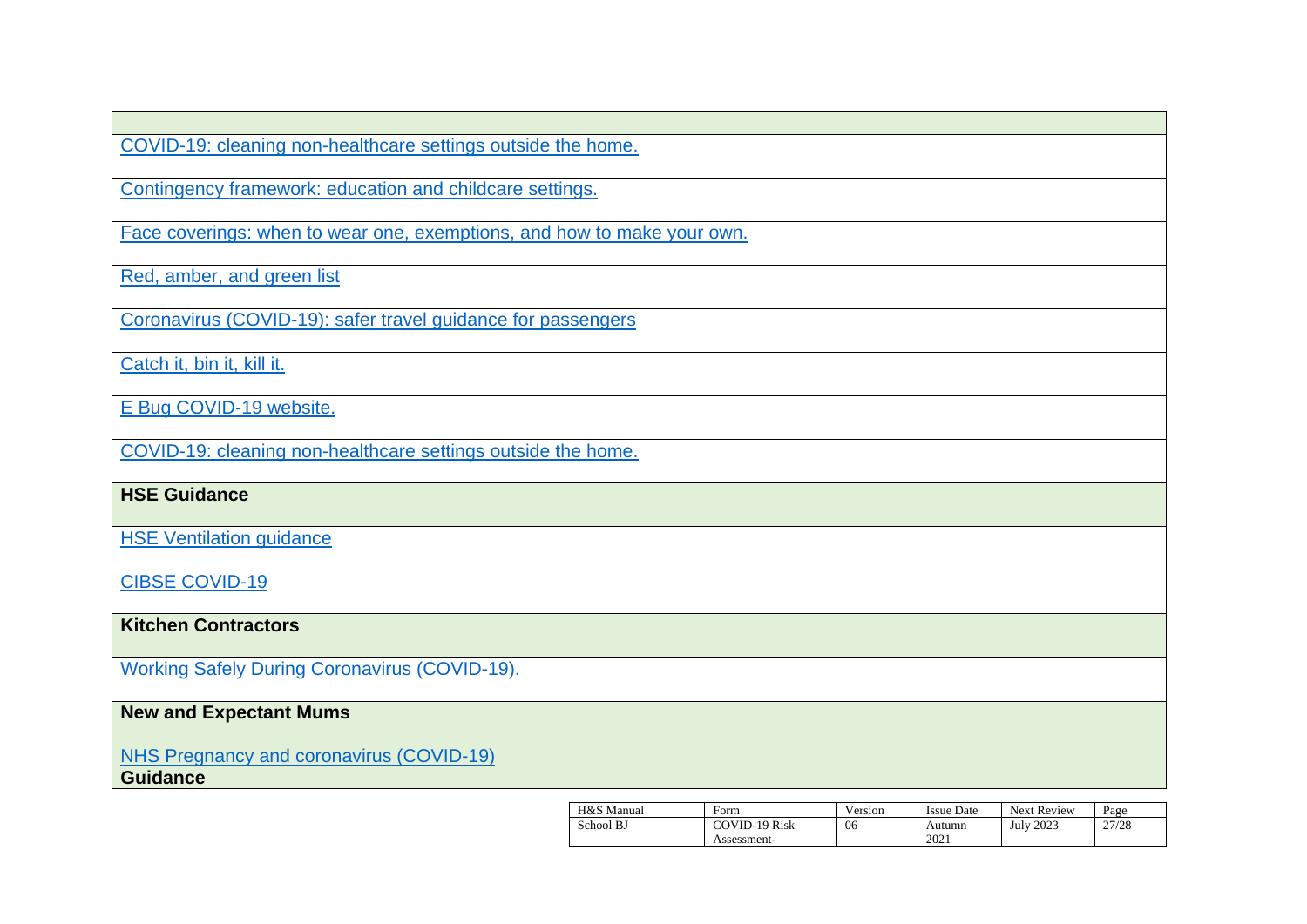[COVID-19: cleaning non-healthcare settings outside the home.](https://www.gov.uk/government/publications/covid-19-decontamination-in-non-healthcare-settings/covid-19-decontamination-in-non-healthcare-settings)

[Contingency framework: education and childcare settings.](https://www.gov.uk/government/publications/coronavirus-covid-19-local-restrictions-in-education-and-childcare-settings/contingency-framework-education-and-childcare-settings)

[Face coverings: when to wear one, exemptions, and how to make your own.](https://www.gov.uk/government/publications/face-coverings-when-to-wear-one-and-how-to-make-your-own/face-coverings-when-to-wear-one-and-how-to-make-your-own)

[Red, amber, and green list](https://www.gov.uk/guidance/red-amber-and-green-list-rules-for-entering-england)

[Coronavirus \(COVID-19\): safer travel guidance for passengers](https://www.gov.uk/guidance/coronavirus-covid-19-safer-travel-guidance-for-passengers#checklists-for-safer-travel)

[Catch it, bin it, kill it.](https://www.infectionpreventioncontrol.co.uk/resources/catch-it-bin-it-kill-it-poster/)

E [Bug COVID-19 website.](https://e-bug.eu/eng_home.aspx?cc=eng&ss=1&t=Information%20about%20the%20Coronavirus)

[COVID-19: cleaning](https://www.gov.uk/government/publications/covid-19-decontamination-in-non-healthcare-settings/covid-19-decontamination-in-non-healthcare-settings) non[-healthcare settings outside the home.](https://www.gov.uk/government/publications/covid-19-decontamination-in-non-healthcare-settings/covid-19-decontamination-in-non-healthcare-settings)

**HSE Guidance**

**[HSE Ventilation guidance](https://www.hse.gov.uk/coronavirus/equipment-and-machinery/air-conditioning-and-ventilation/index.htm)** 

[CIBSE COVID-19](https://www.cibse.org/coronavirus-covid-19/emerging-from-lockdown)

**Kitchen Contractors**

[Working Safely During Coronavirus \(COVID-19\).](https://www.gov.uk/guidance/working-safely-during-covid-19/restaurants-pubs-bars-nightclubs-and-takeaway-services)

## **New and Expectant Mums**

[NHS Pregnancy and coronavirus \(COVID-19\)](https://www.nhs.uk/conditions/coronavirus-covid-19/people-at-higher-risk/pregnancy-and-coronavirus/)

**Guidance**

| H&S Manual | Form                 | Version | <b>Issue Date</b> | <b>Next Review</b> | Page  |
|------------|----------------------|---------|-------------------|--------------------|-------|
| School BJ  | <b>COVID-19 Risk</b> | 06      | Autumn            | July 2023          | 27/28 |
|            | Assessment-          |         | 2021              |                    |       |